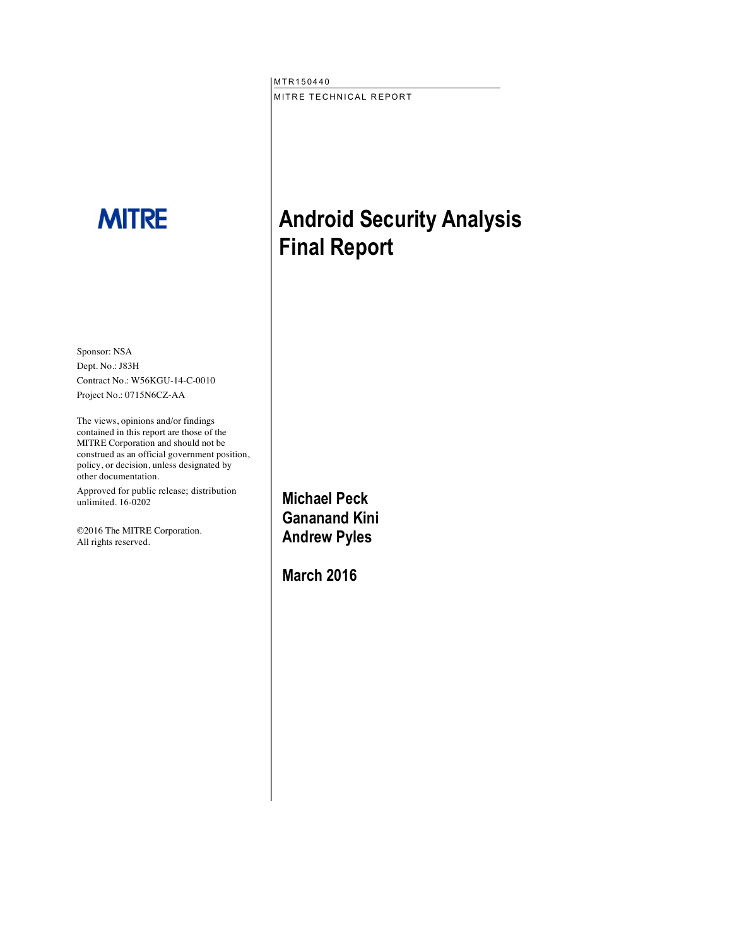MTR150440 MITRE TECHNICAL REPORT

# **MITRE**

Sponsor: NSA Dept. No.: J83H Contract No.: W56KGU-14-C-0010 Project No.: 0715N6CZ-AA

The views, opinions and/or findings contained in this report are those of the MITRE Corporation and should not be construed as an official government position, policy, or decision, unless designated by other documentation.

Approved for public release; distribution unlimited. 16-0202

©2016 The MITRE Corporation. All rights reserved.

**Android Security Analysis Final Report**

**Michael Peck Gananand Kini Andrew Pyles**

**March 2016**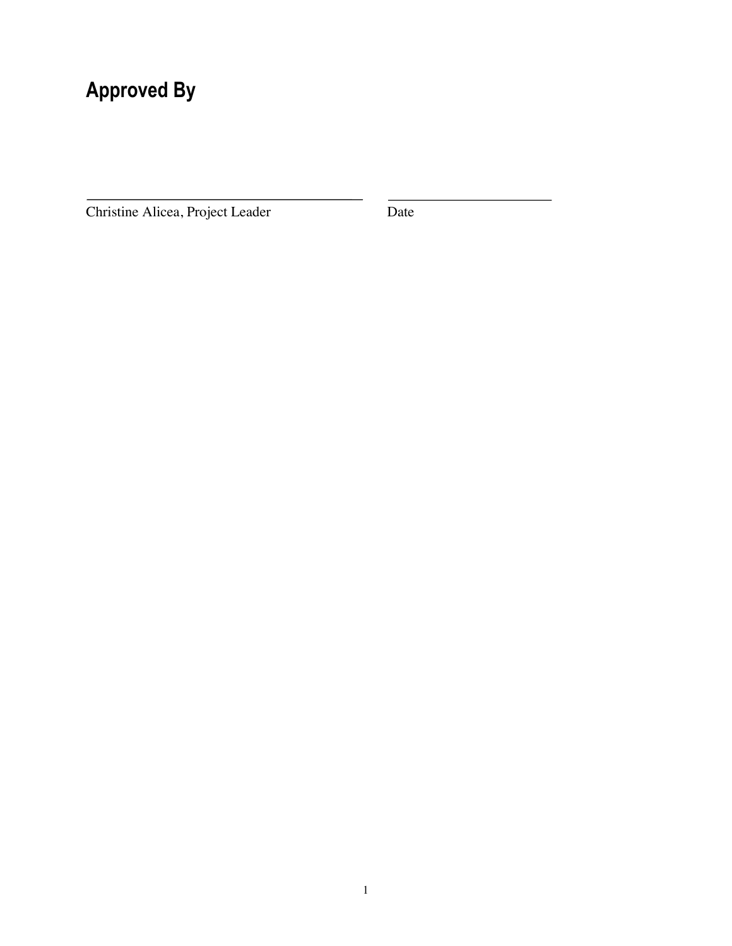# **Approved By**

Christine Alicea, Project Leader Date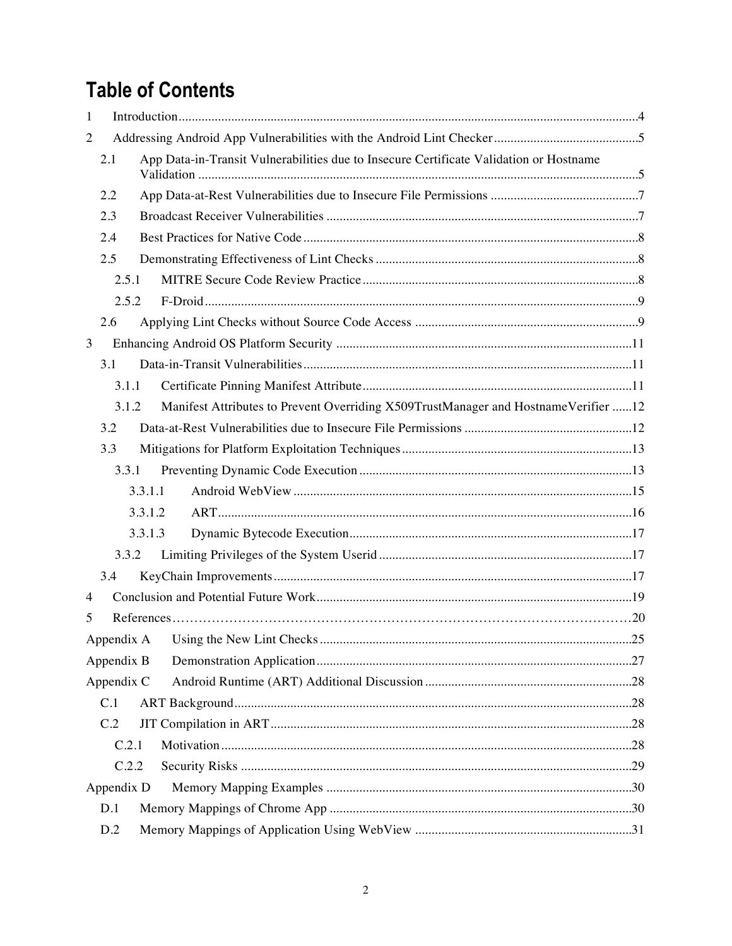# **Table of Contents**

| 1              |            |                                                                                        |  |  |  |  |
|----------------|------------|----------------------------------------------------------------------------------------|--|--|--|--|
| 2              |            |                                                                                        |  |  |  |  |
|                | 2.1        | App Data-in-Transit Vulnerabilities due to Insecure Certificate Validation or Hostname |  |  |  |  |
|                | 2.2        |                                                                                        |  |  |  |  |
|                | 2.3        |                                                                                        |  |  |  |  |
|                | 2.4        |                                                                                        |  |  |  |  |
|                | 2.5        |                                                                                        |  |  |  |  |
|                | 2.5.1      |                                                                                        |  |  |  |  |
|                | 2.5.2      |                                                                                        |  |  |  |  |
|                | 2.6        |                                                                                        |  |  |  |  |
| 3              |            |                                                                                        |  |  |  |  |
|                | 3.1        |                                                                                        |  |  |  |  |
|                | 3.1.1      |                                                                                        |  |  |  |  |
|                | 3.1.2      | Manifest Attributes to Prevent Overriding X509TrustManager and HostnameVerifier 12     |  |  |  |  |
|                | 3.2        |                                                                                        |  |  |  |  |
|                | 3.3        |                                                                                        |  |  |  |  |
|                | 3.3.1      |                                                                                        |  |  |  |  |
|                |            | 3.3.1.1                                                                                |  |  |  |  |
|                |            | 3.3.1.2                                                                                |  |  |  |  |
|                |            | 3.3.1.3                                                                                |  |  |  |  |
|                | 3.3.2      |                                                                                        |  |  |  |  |
|                | 3.4        |                                                                                        |  |  |  |  |
| $\overline{4}$ |            |                                                                                        |  |  |  |  |
| 5              |            |                                                                                        |  |  |  |  |
|                |            |                                                                                        |  |  |  |  |
|                | Appendix B |                                                                                        |  |  |  |  |
|                | Appendix C |                                                                                        |  |  |  |  |
|                | C.1        |                                                                                        |  |  |  |  |
|                | C.2        |                                                                                        |  |  |  |  |
|                | C.2.1      |                                                                                        |  |  |  |  |
|                | C.2.2      |                                                                                        |  |  |  |  |
|                | Appendix D |                                                                                        |  |  |  |  |
|                | D.1        |                                                                                        |  |  |  |  |
|                | D.2        |                                                                                        |  |  |  |  |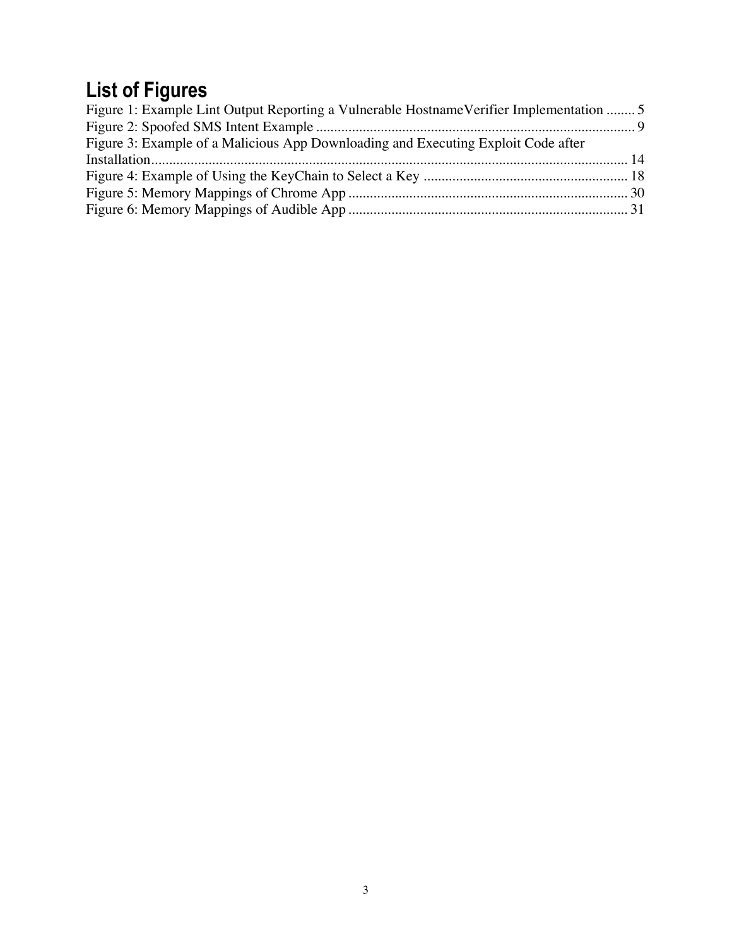# **List of Figures**

| Figure 1: Example Lint Output Reporting a Vulnerable Hostname Verifier Implementation  5 |  |
|------------------------------------------------------------------------------------------|--|
|                                                                                          |  |
| Figure 3: Example of a Malicious App Downloading and Executing Exploit Code after        |  |
|                                                                                          |  |
|                                                                                          |  |
|                                                                                          |  |
|                                                                                          |  |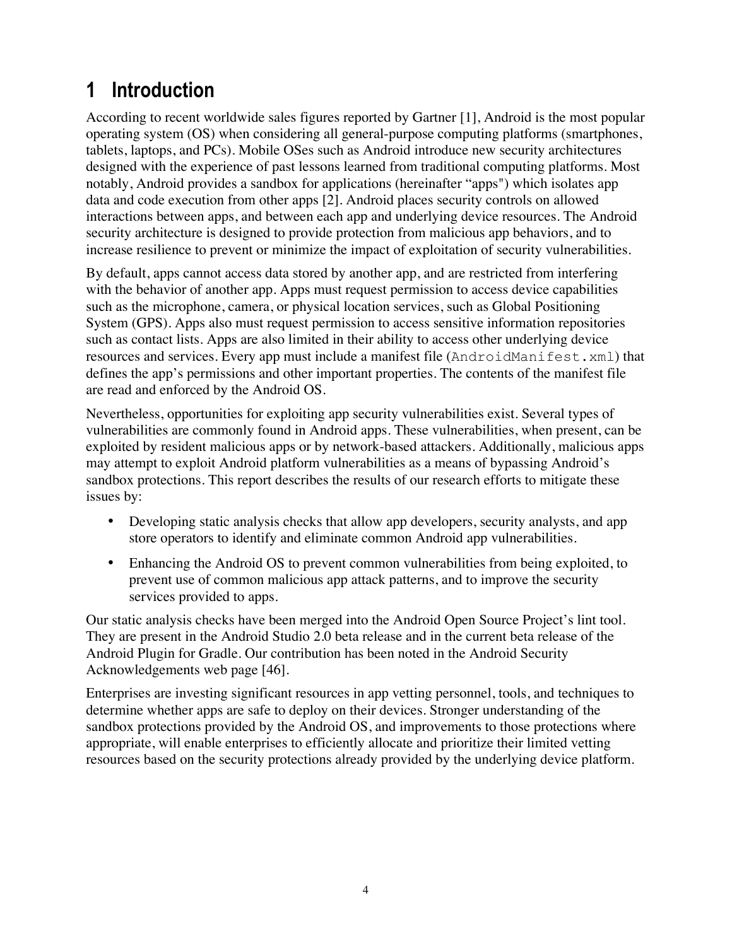## **1 Introduction**

According to recent worldwide sales figures reported by Gartner [1], Android is the most popular operating system (OS) when considering all general-purpose computing platforms (smartphones, tablets, laptops, and PCs). Mobile OSes such as Android introduce new security architectures designed with the experience of past lessons learned from traditional computing platforms. Most notably, Android provides a sandbox for applications (hereinafter "apps") which isolates app data and code execution from other apps [2]. Android places security controls on allowed interactions between apps, and between each app and underlying device resources. The Android security architecture is designed to provide protection from malicious app behaviors, and to increase resilience to prevent or minimize the impact of exploitation of security vulnerabilities.

By default, apps cannot access data stored by another app, and are restricted from interfering with the behavior of another app. Apps must request permission to access device capabilities such as the microphone, camera, or physical location services, such as Global Positioning System (GPS). Apps also must request permission to access sensitive information repositories such as contact lists. Apps are also limited in their ability to access other underlying device resources and services. Every app must include a manifest file (AndroidManifest.xml) that defines the app's permissions and other important properties. The contents of the manifest file are read and enforced by the Android OS.

Nevertheless, opportunities for exploiting app security vulnerabilities exist. Several types of vulnerabilities are commonly found in Android apps. These vulnerabilities, when present, can be exploited by resident malicious apps or by network-based attackers. Additionally, malicious apps may attempt to exploit Android platform vulnerabilities as a means of bypassing Android's sandbox protections. This report describes the results of our research efforts to mitigate these issues by:

- Developing static analysis checks that allow app developers, security analysts, and app store operators to identify and eliminate common Android app vulnerabilities.
- Enhancing the Android OS to prevent common vulnerabilities from being exploited, to prevent use of common malicious app attack patterns, and to improve the security services provided to apps.

Our static analysis checks have been merged into the Android Open Source Project's lint tool. They are present in the Android Studio 2.0 beta release and in the current beta release of the Android Plugin for Gradle. Our contribution has been noted in the Android Security Acknowledgements web page [46].

Enterprises are investing significant resources in app vetting personnel, tools, and techniques to determine whether apps are safe to deploy on their devices. Stronger understanding of the sandbox protections provided by the Android OS, and improvements to those protections where appropriate, will enable enterprises to efficiently allocate and prioritize their limited vetting resources based on the security protections already provided by the underlying device platform.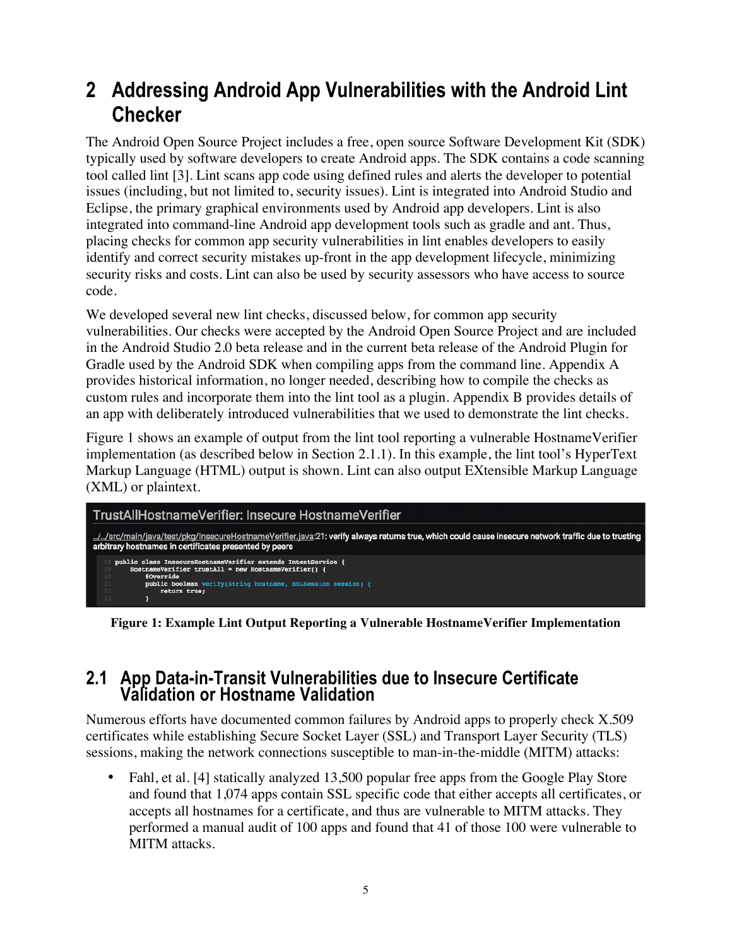### **2 Addressing Android App Vulnerabilities with the Android Lint Checker**

The Android Open Source Project includes a free, open source Software Development Kit (SDK) typically used by software developers to create Android apps. The SDK contains a code scanning tool called lint [3]. Lint scans app code using defined rules and alerts the developer to potential issues (including, but not limited to, security issues). Lint is integrated into Android Studio and Eclipse, the primary graphical environments used by Android app developers. Lint is also integrated into command-line Android app development tools such as gradle and ant. Thus, placing checks for common app security vulnerabilities in lint enables developers to easily identify and correct security mistakes up-front in the app development lifecycle, minimizing security risks and costs. Lint can also be used by security assessors who have access to source code.

We developed several new lint checks, discussed below, for common app security vulnerabilities. Our checks were accepted by the Android Open Source Project and are included in the Android Studio 2.0 beta release and in the current beta release of the Android Plugin for Gradle used by the Android SDK when compiling apps from the command line. Appendix A provides historical information, no longer needed, describing how to compile the checks as custom rules and incorporate them into the lint tool as a plugin. Appendix B provides details of an app with deliberately introduced vulnerabilities that we used to demonstrate the lint checks.

Figure 1 shows an example of output from the lint tool reporting a vulnerable HostnameVerifier implementation (as described below in Section 2.1.1). In this example, the lint tool's HyperText Markup Language (HTML) output is shown. Lint can also output EXtensible Markup Language (XML) or plaintext.



**Figure 1: Example Lint Output Reporting a Vulnerable HostnameVerifier Implementation**

#### **2.1 App Data-in-Transit Vulnerabilities due to Insecure Certificate Validation or Hostname Validation**

Numerous efforts have documented common failures by Android apps to properly check X.509 certificates while establishing Secure Socket Layer (SSL) and Transport Layer Security (TLS) sessions, making the network connections susceptible to man-in-the-middle (MITM) attacks:

Fahl, et al. [4] statically analyzed 13,500 popular free apps from the Google Play Store and found that 1,074 apps contain SSL specific code that either accepts all certificates, or accepts all hostnames for a certificate, and thus are vulnerable to MITM attacks. They performed a manual audit of 100 apps and found that 41 of those 100 were vulnerable to MITM attacks.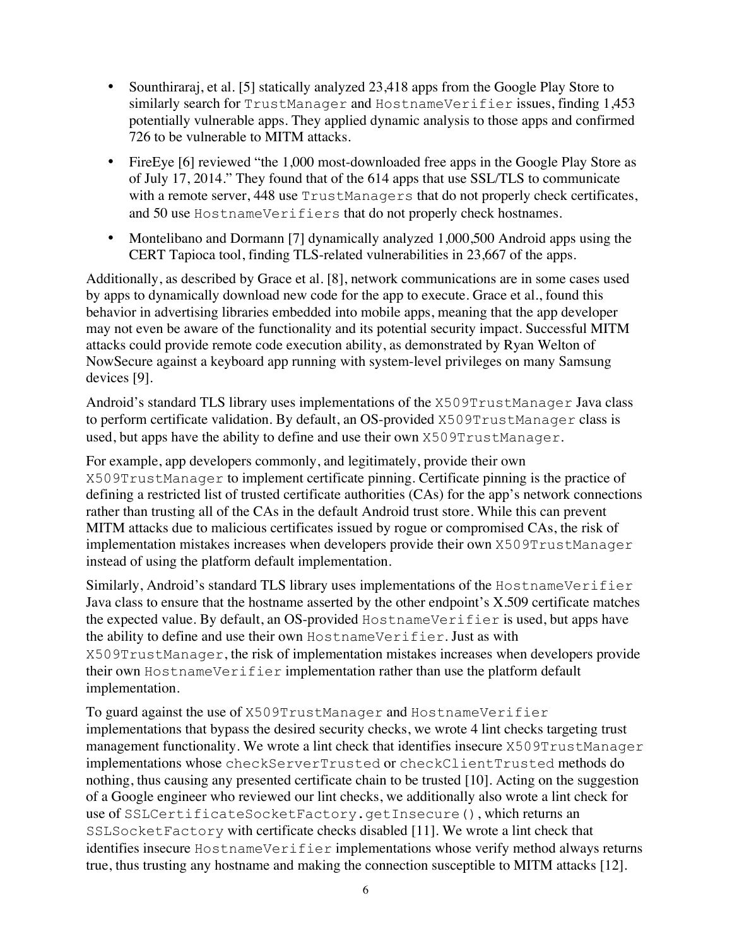- Sounthiraraj, et al. [5] statically analyzed 23,418 apps from the Google Play Store to similarly search for TrustManager and HostnameVerifier issues, finding 1,453 potentially vulnerable apps. They applied dynamic analysis to those apps and confirmed 726 to be vulnerable to MITM attacks.
- FireEye [6] reviewed "the 1,000 most-downloaded free apps in the Google Play Store as of July 17, 2014." They found that of the 614 apps that use SSL/TLS to communicate with a remote server, 448 use TrustManagers that do not properly check certificates, and 50 use HostnameVerifiers that do not properly check hostnames.
- Montelibano and Dormann [7] dynamically analyzed 1,000,500 Android apps using the CERT Tapioca tool, finding TLS-related vulnerabilities in 23,667 of the apps.

Additionally, as described by Grace et al. [8], network communications are in some cases used by apps to dynamically download new code for the app to execute. Grace et al., found this behavior in advertising libraries embedded into mobile apps, meaning that the app developer may not even be aware of the functionality and its potential security impact. Successful MITM attacks could provide remote code execution ability, as demonstrated by Ryan Welton of NowSecure against a keyboard app running with system-level privileges on many Samsung devices [9].

Android's standard TLS library uses implementations of the X509TrustManager Java class to perform certificate validation. By default, an OS-provided X509TrustManager class is used, but apps have the ability to define and use their own X509TrustManager.

For example, app developers commonly, and legitimately, provide their own X509TrustManager to implement certificate pinning. Certificate pinning is the practice of defining a restricted list of trusted certificate authorities (CAs) for the app's network connections rather than trusting all of the CAs in the default Android trust store. While this can prevent MITM attacks due to malicious certificates issued by rogue or compromised CAs, the risk of implementation mistakes increases when developers provide their own X509TrustManager instead of using the platform default implementation.

Similarly, Android's standard TLS library uses implementations of the HostnameVerifier Java class to ensure that the hostname asserted by the other endpoint's X.509 certificate matches the expected value. By default, an OS-provided HostnameVerifier is used, but apps have the ability to define and use their own HostnameVerifier. Just as with X509TrustManager, the risk of implementation mistakes increases when developers provide their own HostnameVerifier implementation rather than use the platform default implementation.

To guard against the use of X509TrustManager and HostnameVerifier implementations that bypass the desired security checks, we wrote 4 lint checks targeting trust management functionality. We wrote a lint check that identifies insecure X509TrustManager implementations whose checkServerTrusted or checkClientTrusted methods do nothing, thus causing any presented certificate chain to be trusted [10]. Acting on the suggestion of a Google engineer who reviewed our lint checks, we additionally also wrote a lint check for use of SSLCertificateSocketFactory.getInsecure(), which returns an SSLSocketFactory with certificate checks disabled [11]. We wrote a lint check that identifies insecure HostnameVerifier implementations whose verify method always returns true, thus trusting any hostname and making the connection susceptible to MITM attacks [12].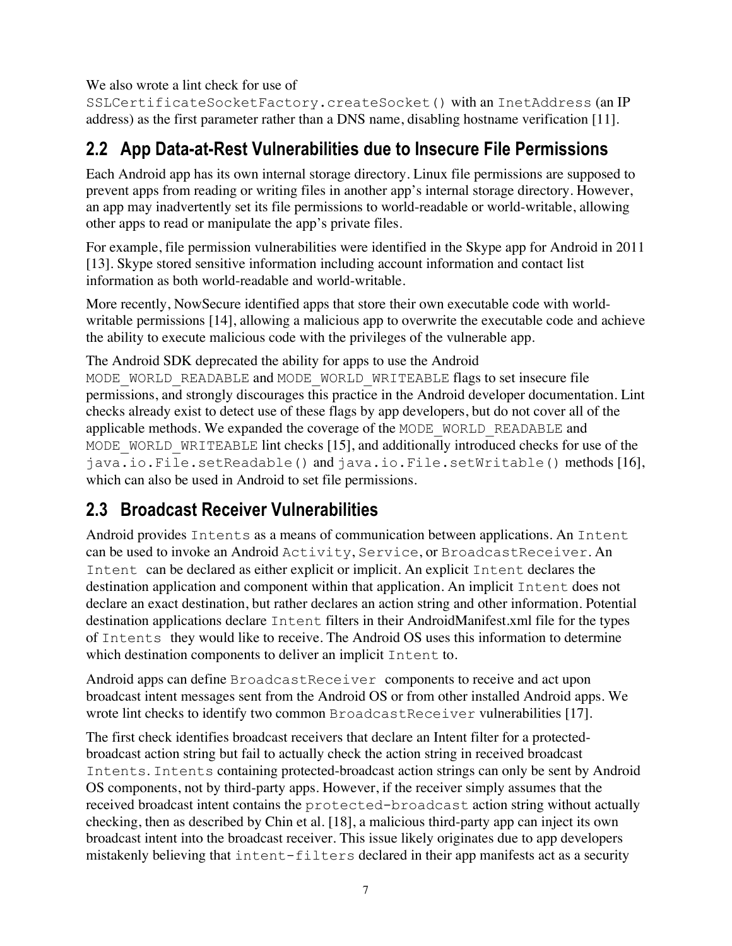We also wrote a lint check for use of

SSLCertificateSocketFactory.createSocket() with an InetAddress (an IP address) as the first parameter rather than a DNS name, disabling hostname verification [11].

### **2.2 App Data-at-Rest Vulnerabilities due to Insecure File Permissions**

Each Android app has its own internal storage directory. Linux file permissions are supposed to prevent apps from reading or writing files in another app's internal storage directory. However, an app may inadvertently set its file permissions to world-readable or world-writable, allowing other apps to read or manipulate the app's private files.

For example, file permission vulnerabilities were identified in the Skype app for Android in 2011 [13]. Skype stored sensitive information including account information and contact list information as both world-readable and world-writable.

More recently, NowSecure identified apps that store their own executable code with worldwritable permissions [14], allowing a malicious app to overwrite the executable code and achieve the ability to execute malicious code with the privileges of the vulnerable app.

The Android SDK deprecated the ability for apps to use the Android

MODE\_WORLD\_READABLE and MODE\_WORLD\_WRITEABLE flags to set insecure file permissions, and strongly discourages this practice in the Android developer documentation. Lint checks already exist to detect use of these flags by app developers, but do not cover all of the applicable methods. We expanded the coverage of the MODE\_WORLD\_READABLE and MODE WORLD WRITEABLE lint checks [15], and additionally introduced checks for use of the java.io.File.setReadable() and java.io.File.setWritable() methods [16], which can also be used in Android to set file permissions.

### **2.3 Broadcast Receiver Vulnerabilities**

Android provides Intents as a means of communication between applications. An Intent can be used to invoke an Android Activity, Service, or BroadcastReceiver. An Intent can be declared as either explicit or implicit. An explicit Intent declares the destination application and component within that application. An implicit Intent does not declare an exact destination, but rather declares an action string and other information. Potential destination applications declare Intent filters in their AndroidManifest.xml file for the types of Intents they would like to receive. The Android OS uses this information to determine which destination components to deliver an implicit Intent to.

Android apps can define BroadcastReceiver components to receive and act upon broadcast intent messages sent from the Android OS or from other installed Android apps. We wrote lint checks to identify two common BroadcastReceiver vulnerabilities [17].

The first check identifies broadcast receivers that declare an Intent filter for a protectedbroadcast action string but fail to actually check the action string in received broadcast Intents. Intents containing protected-broadcast action strings can only be sent by Android OS components, not by third-party apps. However, if the receiver simply assumes that the received broadcast intent contains the protected-broadcast action string without actually checking, then as described by Chin et al. [18], a malicious third-party app can inject its own broadcast intent into the broadcast receiver. This issue likely originates due to app developers mistakenly believing that intent-filters declared in their app manifests act as a security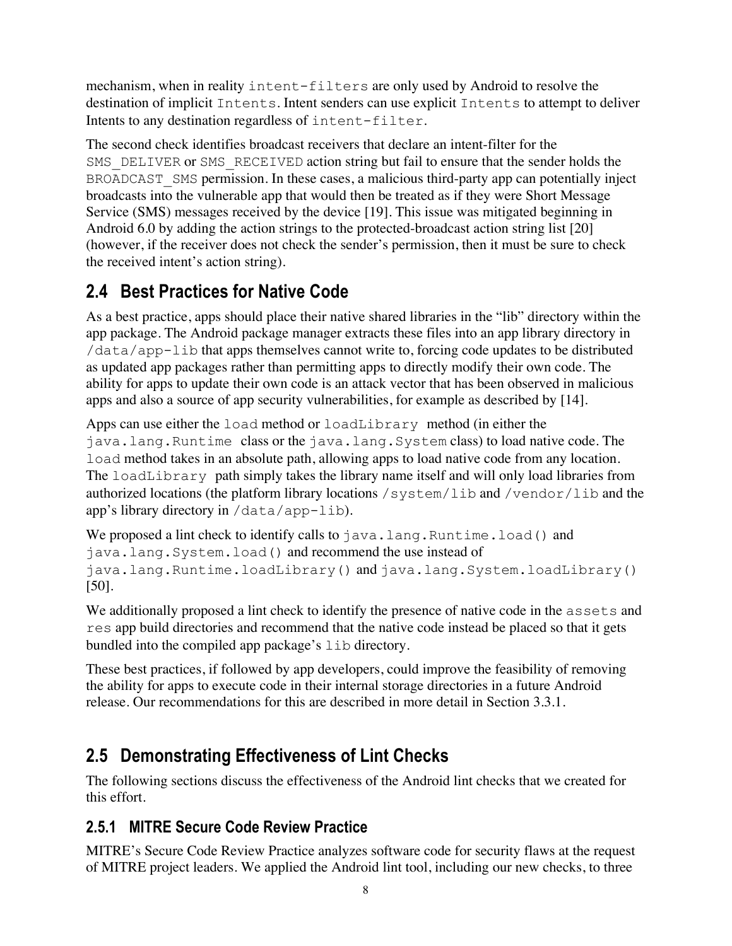mechanism, when in reality intent-filters are only used by Android to resolve the destination of implicit Intents. Intent senders can use explicit Intents to attempt to deliver Intents to any destination regardless of intent-filter.

The second check identifies broadcast receivers that declare an intent-filter for the SMS DELIVER or SMS RECEIVED action string but fail to ensure that the sender holds the BROADCAST SMS permission. In these cases, a malicious third-party app can potentially inject broadcasts into the vulnerable app that would then be treated as if they were Short Message Service (SMS) messages received by the device [19]. This issue was mitigated beginning in Android 6.0 by adding the action strings to the protected-broadcast action string list [20] (however, if the receiver does not check the sender's permission, then it must be sure to check the received intent's action string).

### **2.4 Best Practices for Native Code**

As a best practice, apps should place their native shared libraries in the "lib" directory within the app package. The Android package manager extracts these files into an app library directory in /data/app-lib that apps themselves cannot write to, forcing code updates to be distributed as updated app packages rather than permitting apps to directly modify their own code. The ability for apps to update their own code is an attack vector that has been observed in malicious apps and also a source of app security vulnerabilities, for example as described by [14].

Apps can use either the load method or loadLibrary method (in either the java.lang.Runtime class or the java.lang.System class) to load native code. The load method takes in an absolute path, allowing apps to load native code from any location. The loadLibrary path simply takes the library name itself and will only load libraries from authorized locations (the platform library locations /system/lib and /vendor/lib and the app's library directory in /data/app-lib).

We proposed a lint check to identify calls to  $\exists$  ava.lang. Runtime.load() and java.lang.System.load() and recommend the use instead of java.lang.Runtime.loadLibrary() and java.lang.System.loadLibrary() [50].

We additionally proposed a lint check to identify the presence of native code in the assets and res app build directories and recommend that the native code instead be placed so that it gets bundled into the compiled app package's lib directory.

These best practices, if followed by app developers, could improve the feasibility of removing the ability for apps to execute code in their internal storage directories in a future Android release. Our recommendations for this are described in more detail in Section 3.3.1.

### **2.5 Demonstrating Effectiveness of Lint Checks**

The following sections discuss the effectiveness of the Android lint checks that we created for this effort.

#### **2.5.1 MITRE Secure Code Review Practice**

MITRE's Secure Code Review Practice analyzes software code for security flaws at the request of MITRE project leaders. We applied the Android lint tool, including our new checks, to three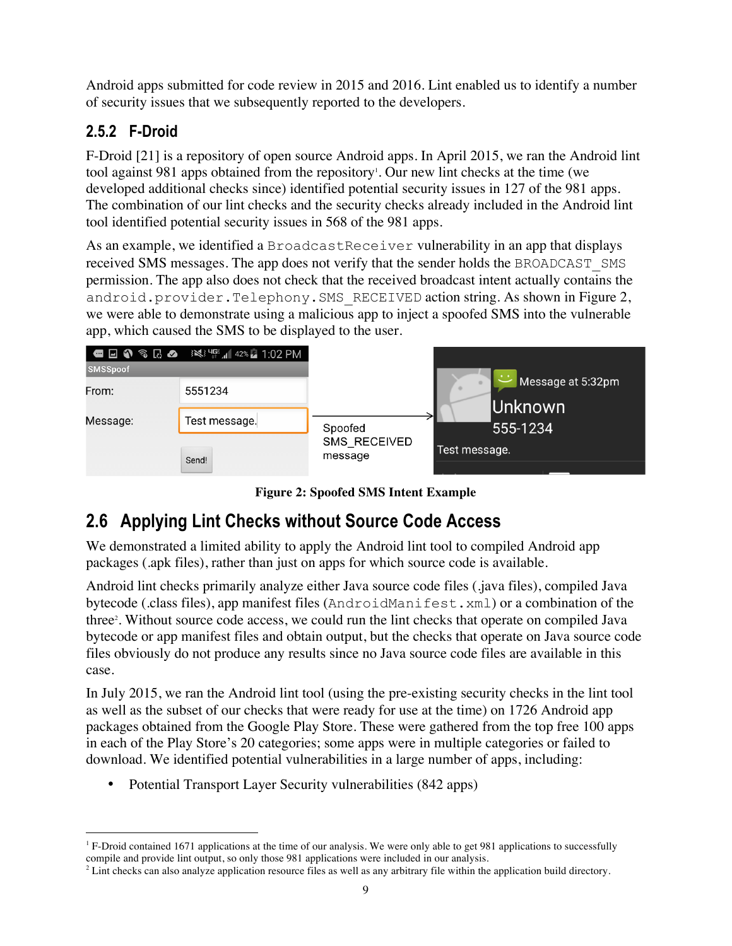Android apps submitted for code review in 2015 and 2016. Lint enabled us to identify a number of security issues that we subsequently reported to the developers.

#### **2.5.2 F-Droid**

F-Droid [21] is a repository of open source Android apps. In April 2015, we ran the Android lint tool against 981 apps obtained from the repository<sup>1</sup>. Our new lint checks at the time (we developed additional checks since) identified potential security issues in 127 of the 981 apps. The combination of our lint checks and the security checks already included in the Android lint tool identified potential security issues in 568 of the 981 apps.

As an example, we identified a BroadcastReceiver vulnerability in an app that displays received SMS messages. The app does not verify that the sender holds the BROADCAST\_SMS permission. The app also does not check that the received broadcast intent actually contains the android.provider.Telephony.SMS RECEIVED action string. As shown in Figure 2, we were able to demonstrate using a malicious app to inject a spoofed SMS into the vulnerable app, which caused the SMS to be displayed to the user.



**Figure 2: Spoofed SMS Intent Example**

### **2.6 Applying Lint Checks without Source Code Access**

We demonstrated a limited ability to apply the Android lint tool to compiled Android app packages (.apk files), rather than just on apps for which source code is available.

Android lint checks primarily analyze either Java source code files (.java files), compiled Java bytecode (.class files), app manifest files (AndroidManifest.xml) or a combination of the three<sup>2</sup>. Without source code access, we could run the lint checks that operate on compiled Java bytecode or app manifest files and obtain output, but the checks that operate on Java source code files obviously do not produce any results since no Java source code files are available in this case.

In July 2015, we ran the Android lint tool (using the pre-existing security checks in the lint tool as well as the subset of our checks that were ready for use at the time) on 1726 Android app packages obtained from the Google Play Store. These were gathered from the top free 100 apps in each of the Play Store's 20 categories; some apps were in multiple categories or failed to download. We identified potential vulnerabilities in a large number of apps, including:

• Potential Transport Layer Security vulnerabilities (842 apps)

 $1$  F-Droid contained 1671 applications at the time of our analysis. We were only able to get 981 applications to successfully compile and provide lint output, so only those 981 applications were included in our analysis.

 $2$  Lint checks can also analyze application resource files as well as any arbitrary file within the application build directory.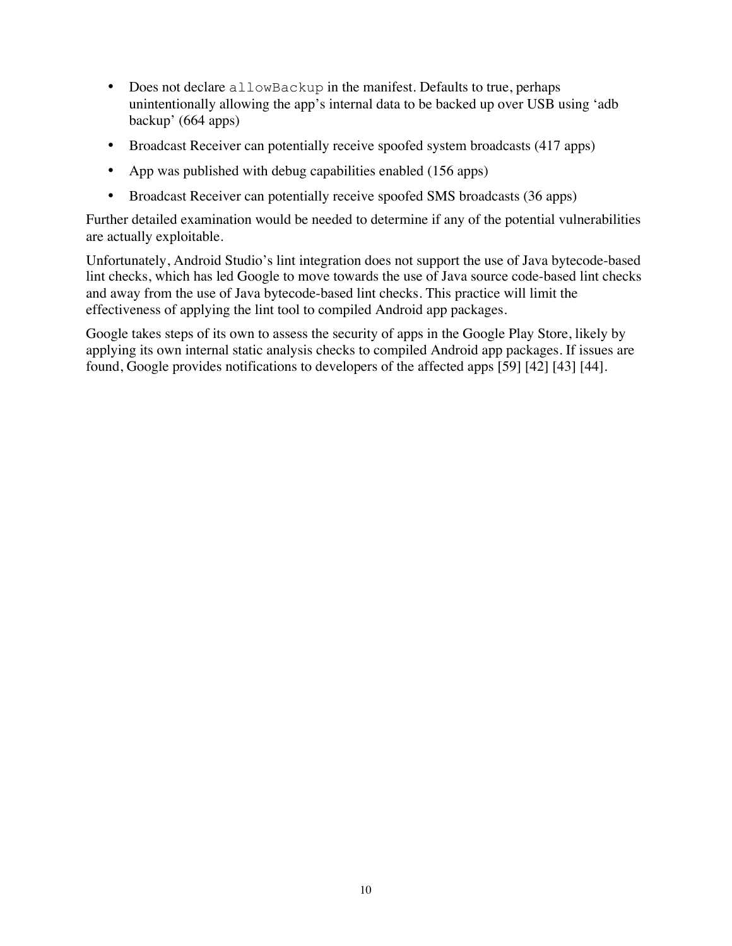- Does not declare allowBackup in the manifest. Defaults to true, perhaps unintentionally allowing the app's internal data to be backed up over USB using 'adb backup' (664 apps)
- Broadcast Receiver can potentially receive spoofed system broadcasts (417 apps)
- App was published with debug capabilities enabled (156 apps)
- Broadcast Receiver can potentially receive spoofed SMS broadcasts (36 apps)

Further detailed examination would be needed to determine if any of the potential vulnerabilities are actually exploitable.

Unfortunately, Android Studio's lint integration does not support the use of Java bytecode-based lint checks, which has led Google to move towards the use of Java source code-based lint checks and away from the use of Java bytecode-based lint checks. This practice will limit the effectiveness of applying the lint tool to compiled Android app packages.

Google takes steps of its own to assess the security of apps in the Google Play Store, likely by applying its own internal static analysis checks to compiled Android app packages. If issues are found, Google provides notifications to developers of the affected apps [59] [42] [43] [44].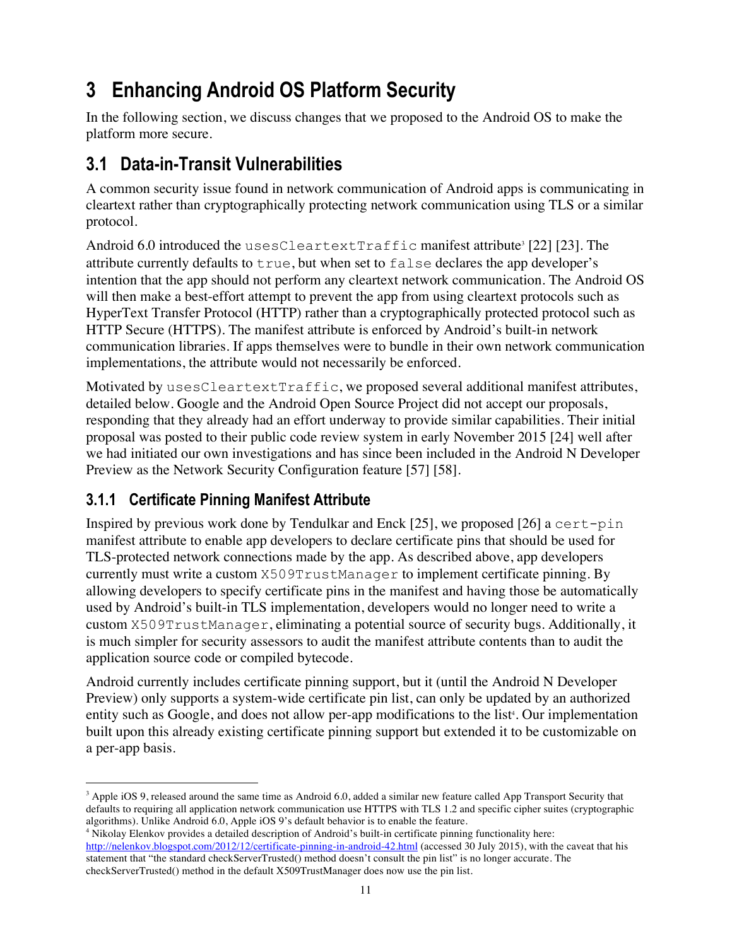# **3 Enhancing Android OS Platform Security**

In the following section, we discuss changes that we proposed to the Android OS to make the platform more secure.

### **3.1 Data-in-Transit Vulnerabilities**

A common security issue found in network communication of Android apps is communicating in cleartext rather than cryptographically protecting network communication using TLS or a similar protocol.

Android 6.0 introduced the usesCleartextTraffic manifest attribute<sup>3</sup> [22] [23]. The attribute currently defaults to true, but when set to false declares the app developer's intention that the app should not perform any cleartext network communication. The Android OS will then make a best-effort attempt to prevent the app from using cleartext protocols such as HyperText Transfer Protocol (HTTP) rather than a cryptographically protected protocol such as HTTP Secure (HTTPS). The manifest attribute is enforced by Android's built-in network communication libraries. If apps themselves were to bundle in their own network communication implementations, the attribute would not necessarily be enforced.

Motivated by usesCleartextTraffic, we proposed several additional manifest attributes, detailed below. Google and the Android Open Source Project did not accept our proposals, responding that they already had an effort underway to provide similar capabilities. Their initial proposal was posted to their public code review system in early November 2015 [24] well after we had initiated our own investigations and has since been included in the Android N Developer Preview as the Network Security Configuration feature [57] [58].

#### **3.1.1 Certificate Pinning Manifest Attribute**

Inspired by previous work done by Tendulkar and Enck [25], we proposed [26] a cert-pin manifest attribute to enable app developers to declare certificate pins that should be used for TLS-protected network connections made by the app. As described above, app developers currently must write a custom X509TrustManager to implement certificate pinning. By allowing developers to specify certificate pins in the manifest and having those be automatically used by Android's built-in TLS implementation, developers would no longer need to write a custom X509TrustManager, eliminating a potential source of security bugs. Additionally, it is much simpler for security assessors to audit the manifest attribute contents than to audit the application source code or compiled bytecode.

Android currently includes certificate pinning support, but it (until the Android N Developer Preview) only supports a system-wide certificate pin list, can only be updated by an authorized entity such as Google, and does not allow per-app modifications to the list<sup>4</sup>. Our implementation built upon this already existing certificate pinning support but extended it to be customizable on a per-app basis.

<sup>&</sup>lt;sup>3</sup> Apple iOS 9, released around the same time as Android 6.0, added a similar new feature called App Transport Security that defaults to requiring all application network communication use HTTPS with TLS 1.2 and specific cipher suites (cryptographic algorithms). Unlike Android 6.0, Apple iOS 9's default behavior is to enable the feature.

<sup>4</sup> Nikolay Elenkov provides a detailed description of Android's built-in certificate pinning functionality here: http://nelenkov.blogspot.com/2012/12/certificate-pinning-in-android-42.html (accessed 30 July 2015), with the caveat that his statement that "the standard checkServerTrusted() method doesn't consult the pin list" is no longer accurate. The checkServerTrusted() method in the default X509TrustManager does now use the pin list.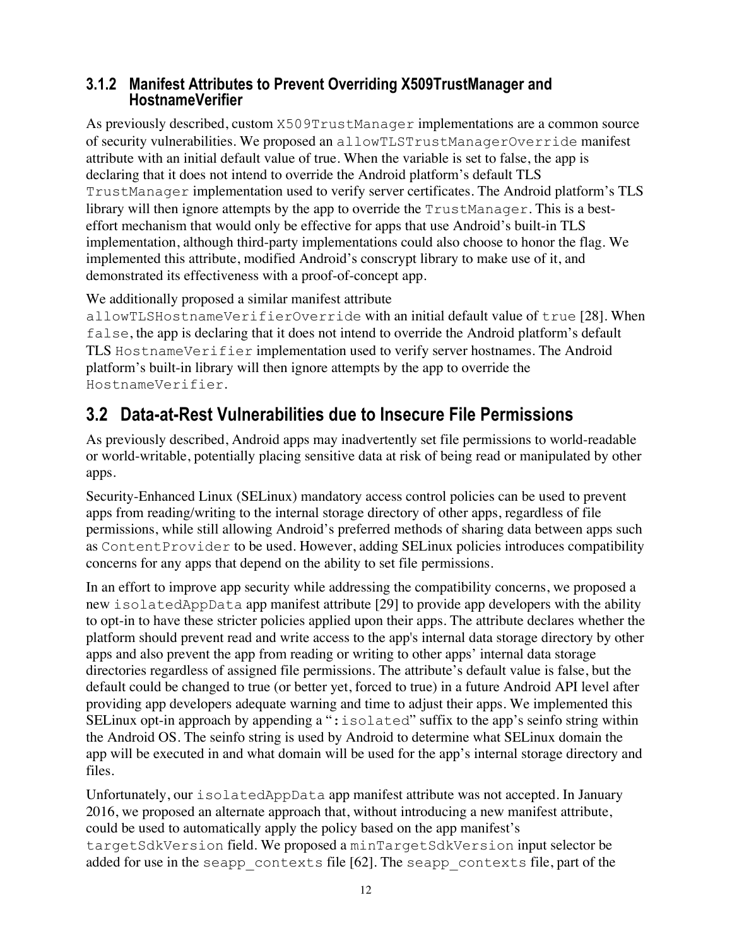# **3.1.2 Manifest Attributes to Prevent Overriding X509TrustManager and HostnameVerifier**

As previously described, custom X509TrustManager implementations are a common source of security vulnerabilities. We proposed an allowTLSTrustManagerOverride manifest attribute with an initial default value of true. When the variable is set to false, the app is declaring that it does not intend to override the Android platform's default TLS TrustManager implementation used to verify server certificates. The Android platform's TLS library will then ignore attempts by the app to override the TrustManager. This is a besteffort mechanism that would only be effective for apps that use Android's built-in TLS implementation, although third-party implementations could also choose to honor the flag. We implemented this attribute, modified Android's conscrypt library to make use of it, and demonstrated its effectiveness with a proof-of-concept app.

We additionally proposed a similar manifest attribute

allowTLSHostnameVerifierOverride with an initial default value of true [28]. When false, the app is declaring that it does not intend to override the Android platform's default TLS HostnameVerifier implementation used to verify server hostnames. The Android platform's built-in library will then ignore attempts by the app to override the HostnameVerifier.

### **3.2 Data-at-Rest Vulnerabilities due to Insecure File Permissions**

As previously described, Android apps may inadvertently set file permissions to world-readable or world-writable, potentially placing sensitive data at risk of being read or manipulated by other apps.

Security-Enhanced Linux (SELinux) mandatory access control policies can be used to prevent apps from reading/writing to the internal storage directory of other apps, regardless of file permissions, while still allowing Android's preferred methods of sharing data between apps such as ContentProvider to be used. However, adding SELinux policies introduces compatibility concerns for any apps that depend on the ability to set file permissions.

In an effort to improve app security while addressing the compatibility concerns, we proposed a new isolatedAppData app manifest attribute [29] to provide app developers with the ability to opt-in to have these stricter policies applied upon their apps. The attribute declares whether the platform should prevent read and write access to the app's internal data storage directory by other apps and also prevent the app from reading or writing to other apps' internal data storage directories regardless of assigned file permissions. The attribute's default value is false, but the default could be changed to true (or better yet, forced to true) in a future Android API level after providing app developers adequate warning and time to adjust their apps. We implemented this SELinux opt-in approach by appending a " $:$  isolated" suffix to the app's seinfo string within the Android OS. The seinfo string is used by Android to determine what SELinux domain the app will be executed in and what domain will be used for the app's internal storage directory and files.

Unfortunately, our isolatedAppData app manifest attribute was not accepted. In January 2016, we proposed an alternate approach that, without introducing a new manifest attribute, could be used to automatically apply the policy based on the app manifest's targetSdkVersion field. We proposed a minTargetSdkVersion input selector be added for use in the seapp\_contexts file [62]. The seapp\_contexts file, part of the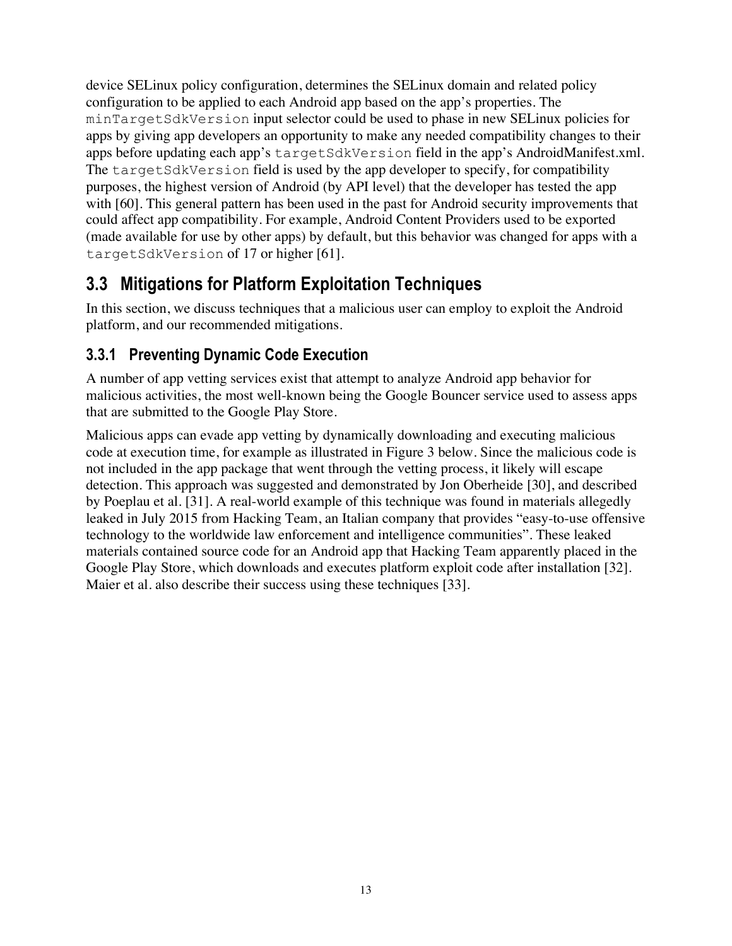device SELinux policy configuration, determines the SELinux domain and related policy configuration to be applied to each Android app based on the app's properties. The minTargetSdkVersion input selector could be used to phase in new SELinux policies for apps by giving app developers an opportunity to make any needed compatibility changes to their apps before updating each app's targetSdkVersion field in the app's AndroidManifest.xml. The targetSdkVersion field is used by the app developer to specify, for compatibility purposes, the highest version of Android (by API level) that the developer has tested the app with [60]. This general pattern has been used in the past for Android security improvements that could affect app compatibility. For example, Android Content Providers used to be exported (made available for use by other apps) by default, but this behavior was changed for apps with a targetSdkVersion of 17 or higher [61].

### **3.3 Mitigations for Platform Exploitation Techniques**

In this section, we discuss techniques that a malicious user can employ to exploit the Android platform, and our recommended mitigations.

#### **3.3.1 Preventing Dynamic Code Execution**

A number of app vetting services exist that attempt to analyze Android app behavior for malicious activities, the most well-known being the Google Bouncer service used to assess apps that are submitted to the Google Play Store.

Malicious apps can evade app vetting by dynamically downloading and executing malicious code at execution time, for example as illustrated in Figure 3 below. Since the malicious code is not included in the app package that went through the vetting process, it likely will escape detection. This approach was suggested and demonstrated by Jon Oberheide [30], and described by Poeplau et al. [31]. A real-world example of this technique was found in materials allegedly leaked in July 2015 from Hacking Team, an Italian company that provides "easy-to-use offensive technology to the worldwide law enforcement and intelligence communities". These leaked materials contained source code for an Android app that Hacking Team apparently placed in the Google Play Store, which downloads and executes platform exploit code after installation [32]. Maier et al. also describe their success using these techniques [33].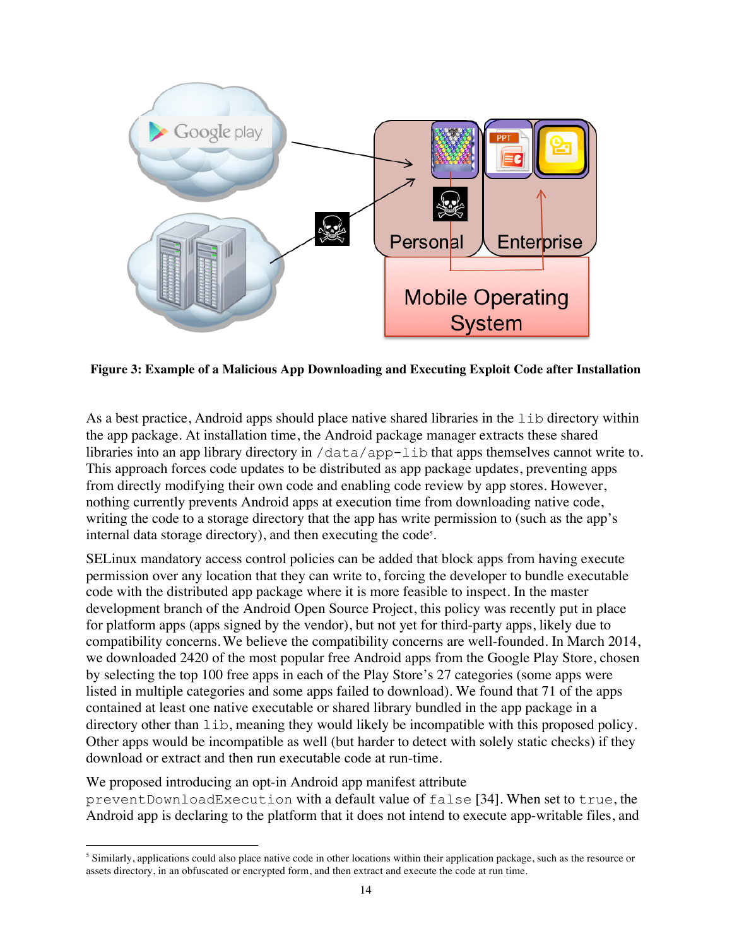

**Figure 3: Example of a Malicious App Downloading and Executing Exploit Code after Installation**

As a best practice, Android apps should place native shared libraries in the lib directory within the app package. At installation time, the Android package manager extracts these shared libraries into an app library directory in /data/app-lib that apps themselves cannot write to. This approach forces code updates to be distributed as app package updates, preventing apps from directly modifying their own code and enabling code review by app stores. However, nothing currently prevents Android apps at execution time from downloading native code, writing the code to a storage directory that the app has write permission to (such as the app's internal data storage directory), and then executing the code<sup>5</sup>.

SELinux mandatory access control policies can be added that block apps from having execute permission over any location that they can write to, forcing the developer to bundle executable code with the distributed app package where it is more feasible to inspect. In the master development branch of the Android Open Source Project, this policy was recently put in place for platform apps (apps signed by the vendor), but not yet for third-party apps, likely due to compatibility concerns.We believe the compatibility concerns are well-founded. In March 2014, we downloaded 2420 of the most popular free Android apps from the Google Play Store, chosen by selecting the top 100 free apps in each of the Play Store's 27 categories (some apps were listed in multiple categories and some apps failed to download). We found that 71 of the apps contained at least one native executable or shared library bundled in the app package in a directory other than lib, meaning they would likely be incompatible with this proposed policy. Other apps would be incompatible as well (but harder to detect with solely static checks) if they download or extract and then run executable code at run-time.

We proposed introducing an opt-in Android app manifest attribute preventDownloadExecution with a default value of false [34]. When set to true, the Android app is declaring to the platform that it does not intend to execute app-writable files, and

<sup>&</sup>lt;sup>5</sup> Similarly, applications could also place native code in other locations within their application package, such as the resource or assets directory, in an obfuscated or encrypted form, and then extract and execute the code at run time.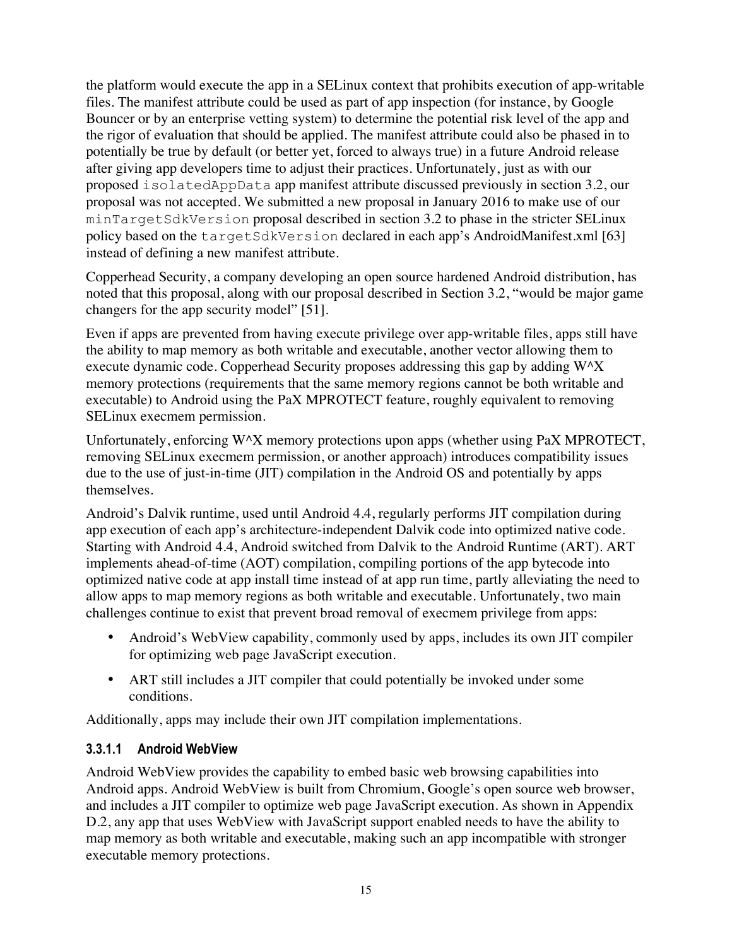the platform would execute the app in a SELinux context that prohibits execution of app-writable files. The manifest attribute could be used as part of app inspection (for instance, by Google Bouncer or by an enterprise vetting system) to determine the potential risk level of the app and the rigor of evaluation that should be applied. The manifest attribute could also be phased in to potentially be true by default (or better yet, forced to always true) in a future Android release after giving app developers time to adjust their practices. Unfortunately, just as with our proposed isolatedAppData app manifest attribute discussed previously in section 3.2, our proposal was not accepted. We submitted a new proposal in January 2016 to make use of our minTargetSdkVersion proposal described in section 3.2 to phase in the stricter SELinux policy based on the targetSdkVersion declared in each app's AndroidManifest.xml [63] instead of defining a new manifest attribute.

Copperhead Security, a company developing an open source hardened Android distribution, has noted that this proposal, along with our proposal described in Section 3.2, "would be major game changers for the app security model" [51].

Even if apps are prevented from having execute privilege over app-writable files, apps still have the ability to map memory as both writable and executable, another vector allowing them to execute dynamic code. Copperhead Security proposes addressing this gap by adding W^X memory protections (requirements that the same memory regions cannot be both writable and executable) to Android using the PaX MPROTECT feature, roughly equivalent to removing SELinux execmem permission.

Unfortunately, enforcing W^X memory protections upon apps (whether using PaX MPROTECT, removing SELinux execmem permission, or another approach) introduces compatibility issues due to the use of just-in-time (JIT) compilation in the Android OS and potentially by apps themselves.

Android's Dalvik runtime, used until Android 4.4, regularly performs JIT compilation during app execution of each app's architecture-independent Dalvik code into optimized native code. Starting with Android 4.4, Android switched from Dalvik to the Android Runtime (ART). ART implements ahead-of-time (AOT) compilation, compiling portions of the app bytecode into optimized native code at app install time instead of at app run time, partly alleviating the need to allow apps to map memory regions as both writable and executable. Unfortunately, two main challenges continue to exist that prevent broad removal of execmem privilege from apps:

- Android's WebView capability, commonly used by apps, includes its own JIT compiler for optimizing web page JavaScript execution.
- ART still includes a JIT compiler that could potentially be invoked under some conditions.

Additionally, apps may include their own JIT compilation implementations.

#### **3.3.1.1 Android WebView**

Android WebView provides the capability to embed basic web browsing capabilities into Android apps. Android WebView is built from Chromium, Google's open source web browser, and includes a JIT compiler to optimize web page JavaScript execution. As shown in Appendix D.2, any app that uses WebView with JavaScript support enabled needs to have the ability to map memory as both writable and executable, making such an app incompatible with stronger executable memory protections.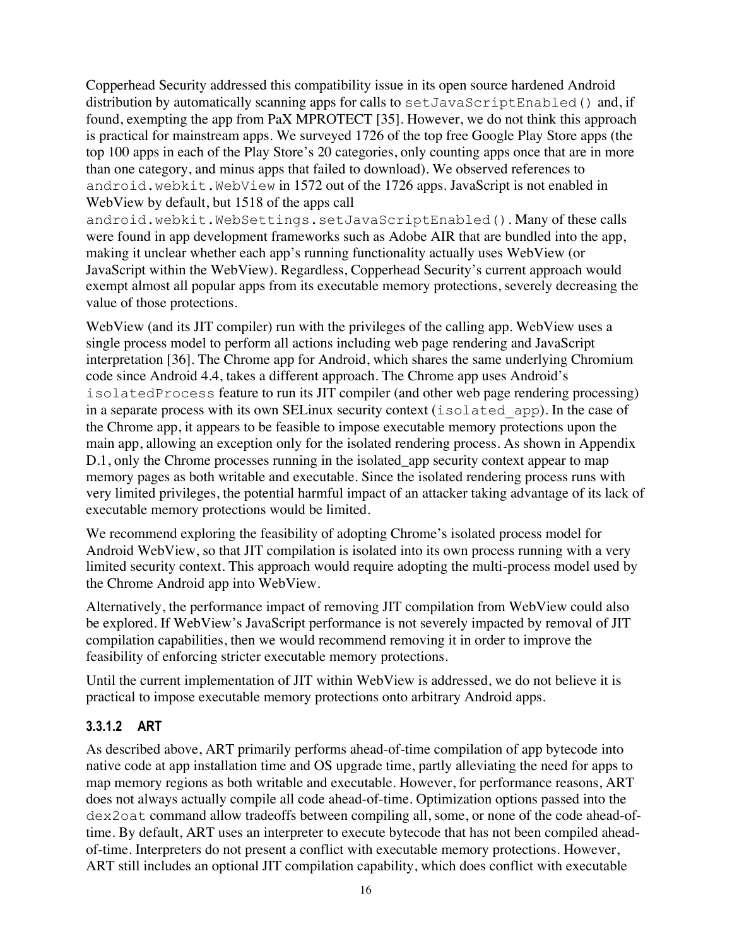Copperhead Security addressed this compatibility issue in its open source hardened Android distribution by automatically scanning apps for calls to setJavaScriptEnabled() and, if found, exempting the app from PaX MPROTECT [35]. However, we do not think this approach is practical for mainstream apps. We surveyed 1726 of the top free Google Play Store apps (the top 100 apps in each of the Play Store's 20 categories, only counting apps once that are in more than one category, and minus apps that failed to download). We observed references to android.webkit.WebView in 1572 out of the 1726 apps. JavaScript is not enabled in WebView by default, but 1518 of the apps call

android.webkit.WebSettings.setJavaScriptEnabled(). Many of these calls were found in app development frameworks such as Adobe AIR that are bundled into the app, making it unclear whether each app's running functionality actually uses WebView (or JavaScript within the WebView). Regardless, Copperhead Security's current approach would exempt almost all popular apps from its executable memory protections, severely decreasing the value of those protections.

WebView (and its JIT compiler) run with the privileges of the calling app. WebView uses a single process model to perform all actions including web page rendering and JavaScript interpretation [36]. The Chrome app for Android, which shares the same underlying Chromium code since Android 4.4, takes a different approach. The Chrome app uses Android's isolatedProcess feature to run its JIT compiler (and other web page rendering processing) in a separate process with its own SELinux security context (isolated\_app). In the case of the Chrome app, it appears to be feasible to impose executable memory protections upon the main app, allowing an exception only for the isolated rendering process. As shown in Appendix D.1, only the Chrome processes running in the isolated app security context appear to map memory pages as both writable and executable. Since the isolated rendering process runs with very limited privileges, the potential harmful impact of an attacker taking advantage of its lack of executable memory protections would be limited.

We recommend exploring the feasibility of adopting Chrome's isolated process model for Android WebView, so that JIT compilation is isolated into its own process running with a very limited security context. This approach would require adopting the multi-process model used by the Chrome Android app into WebView.

Alternatively, the performance impact of removing JIT compilation from WebView could also be explored. If WebView's JavaScript performance is not severely impacted by removal of JIT compilation capabilities, then we would recommend removing it in order to improve the feasibility of enforcing stricter executable memory protections.

Until the current implementation of JIT within WebView is addressed, we do not believe it is practical to impose executable memory protections onto arbitrary Android apps.

#### **3.3.1.2 ART**

As described above, ART primarily performs ahead-of-time compilation of app bytecode into native code at app installation time and OS upgrade time, partly alleviating the need for apps to map memory regions as both writable and executable. However, for performance reasons, ART does not always actually compile all code ahead-of-time. Optimization options passed into the dex2oat command allow tradeoffs between compiling all, some, or none of the code ahead-oftime. By default, ART uses an interpreter to execute bytecode that has not been compiled aheadof-time. Interpreters do not present a conflict with executable memory protections. However, ART still includes an optional JIT compilation capability, which does conflict with executable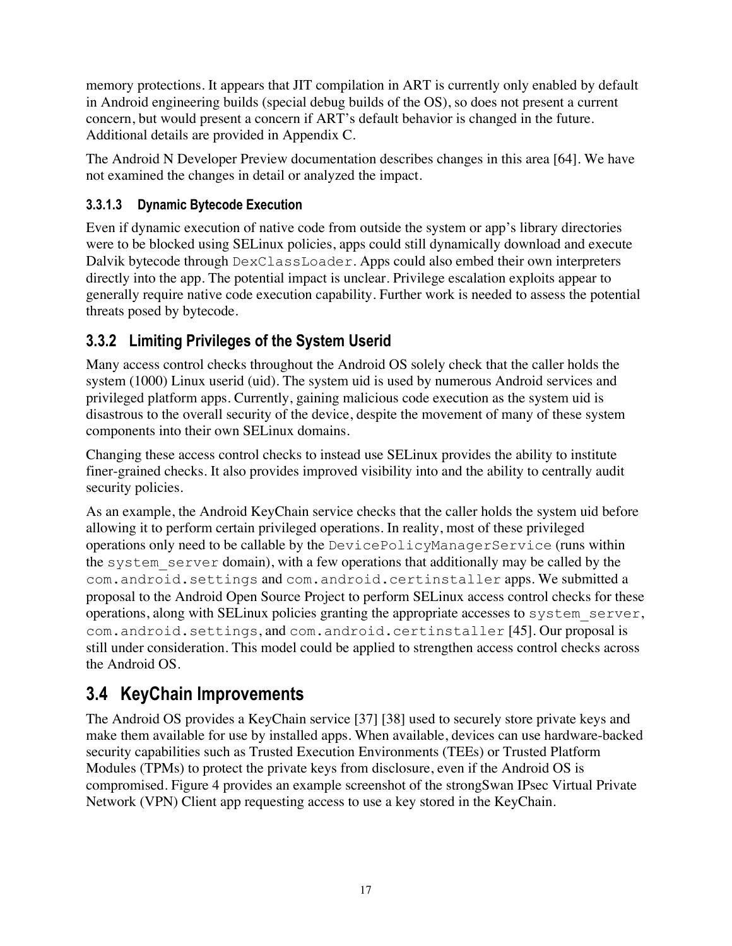memory protections. It appears that JIT compilation in ART is currently only enabled by default in Android engineering builds (special debug builds of the OS), so does not present a current concern, but would present a concern if ART's default behavior is changed in the future. Additional details are provided in Appendix C.

The Android N Developer Preview documentation describes changes in this area [64]. We have not examined the changes in detail or analyzed the impact.

#### **3.3.1.3 Dynamic Bytecode Execution**

Even if dynamic execution of native code from outside the system or app's library directories were to be blocked using SELinux policies, apps could still dynamically download and execute Dalvik bytecode through DexClassLoader. Apps could also embed their own interpreters directly into the app. The potential impact is unclear. Privilege escalation exploits appear to generally require native code execution capability. Further work is needed to assess the potential threats posed by bytecode.

#### **3.3.2 Limiting Privileges of the System Userid**

Many access control checks throughout the Android OS solely check that the caller holds the system (1000) Linux userid (uid). The system uid is used by numerous Android services and privileged platform apps. Currently, gaining malicious code execution as the system uid is disastrous to the overall security of the device, despite the movement of many of these system components into their own SELinux domains.

Changing these access control checks to instead use SELinux provides the ability to institute finer-grained checks. It also provides improved visibility into and the ability to centrally audit security policies.

As an example, the Android KeyChain service checks that the caller holds the system uid before allowing it to perform certain privileged operations. In reality, most of these privileged operations only need to be callable by the DevicePolicyManagerService (runs within the system\_server domain), with a few operations that additionally may be called by the com.android.settings and com.android.certinstaller apps. We submitted a proposal to the Android Open Source Project to perform SELinux access control checks for these operations, along with SELinux policies granting the appropriate accesses to system\_server, com.android.settings, and com.android.certinstaller [45]. Our proposal is still under consideration. This model could be applied to strengthen access control checks across the Android OS.

### **3.4 KeyChain Improvements**

The Android OS provides a KeyChain service [37] [38] used to securely store private keys and make them available for use by installed apps. When available, devices can use hardware-backed security capabilities such as Trusted Execution Environments (TEEs) or Trusted Platform Modules (TPMs) to protect the private keys from disclosure, even if the Android OS is compromised. Figure 4 provides an example screenshot of the strongSwan IPsec Virtual Private Network (VPN) Client app requesting access to use a key stored in the KeyChain.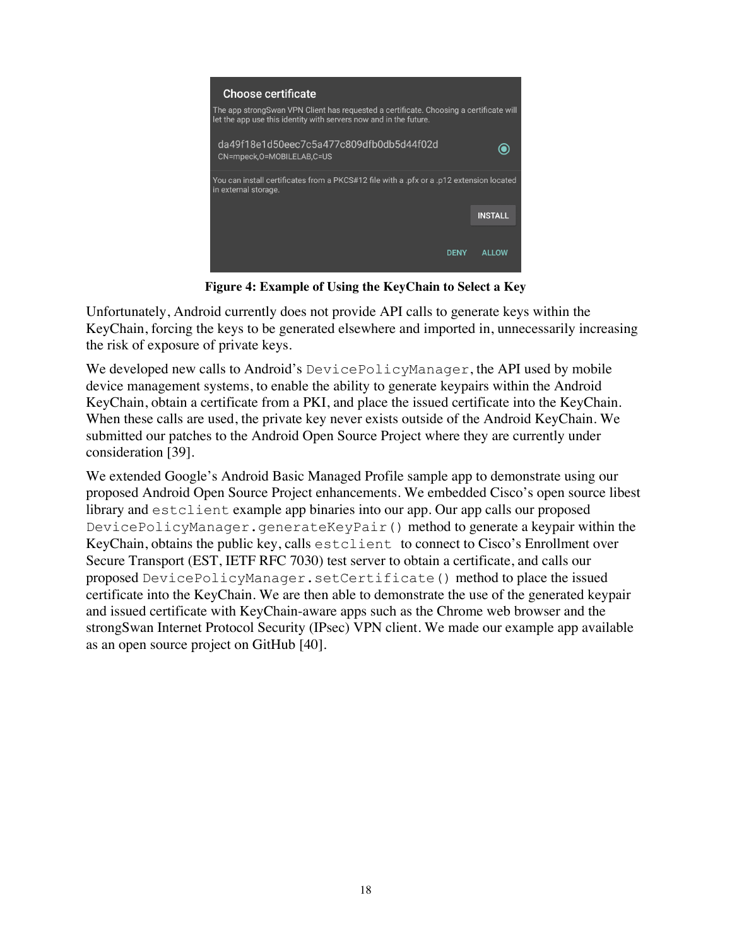

**Figure 4: Example of Using the KeyChain to Select a Key**

Unfortunately, Android currently does not provide API calls to generate keys within the KeyChain, forcing the keys to be generated elsewhere and imported in, unnecessarily increasing the risk of exposure of private keys.

We developed new calls to Android's DevicePolicyManager, the API used by mobile device management systems, to enable the ability to generate keypairs within the Android KeyChain, obtain a certificate from a PKI, and place the issued certificate into the KeyChain. When these calls are used, the private key never exists outside of the Android KeyChain. We submitted our patches to the Android Open Source Project where they are currently under consideration [39].

We extended Google's Android Basic Managed Profile sample app to demonstrate using our proposed Android Open Source Project enhancements. We embedded Cisco's open source libest library and estclient example app binaries into our app. Our app calls our proposed DevicePolicyManager.generateKeyPair() method to generate a keypair within the KeyChain, obtains the public key, calls estclient to connect to Cisco's Enrollment over Secure Transport (EST, IETF RFC 7030) test server to obtain a certificate, and calls our proposed DevicePolicyManager.setCertificate() method to place the issued certificate into the KeyChain. We are then able to demonstrate the use of the generated keypair and issued certificate with KeyChain-aware apps such as the Chrome web browser and the strongSwan Internet Protocol Security (IPsec) VPN client. We made our example app available as an open source project on GitHub [40].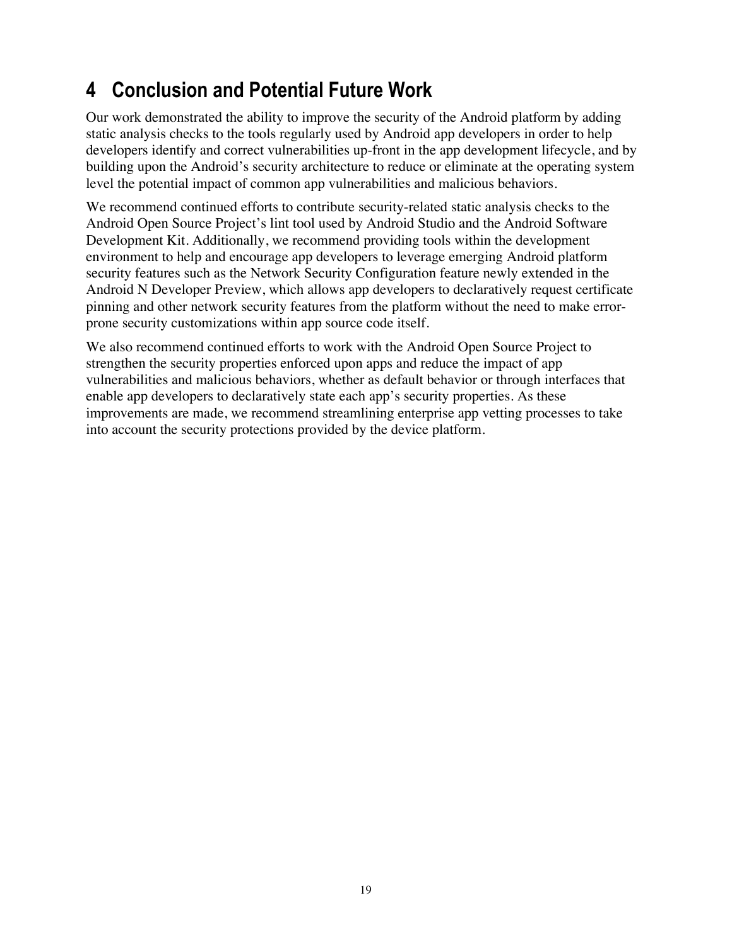### **4 Conclusion and Potential Future Work**

Our work demonstrated the ability to improve the security of the Android platform by adding static analysis checks to the tools regularly used by Android app developers in order to help developers identify and correct vulnerabilities up-front in the app development lifecycle, and by building upon the Android's security architecture to reduce or eliminate at the operating system level the potential impact of common app vulnerabilities and malicious behaviors.

We recommend continued efforts to contribute security-related static analysis checks to the Android Open Source Project's lint tool used by Android Studio and the Android Software Development Kit. Additionally, we recommend providing tools within the development environment to help and encourage app developers to leverage emerging Android platform security features such as the Network Security Configuration feature newly extended in the Android N Developer Preview, which allows app developers to declaratively request certificate pinning and other network security features from the platform without the need to make errorprone security customizations within app source code itself.

We also recommend continued efforts to work with the Android Open Source Project to strengthen the security properties enforced upon apps and reduce the impact of app vulnerabilities and malicious behaviors, whether as default behavior or through interfaces that enable app developers to declaratively state each app's security properties. As these improvements are made, we recommend streamlining enterprise app vetting processes to take into account the security protections provided by the device platform.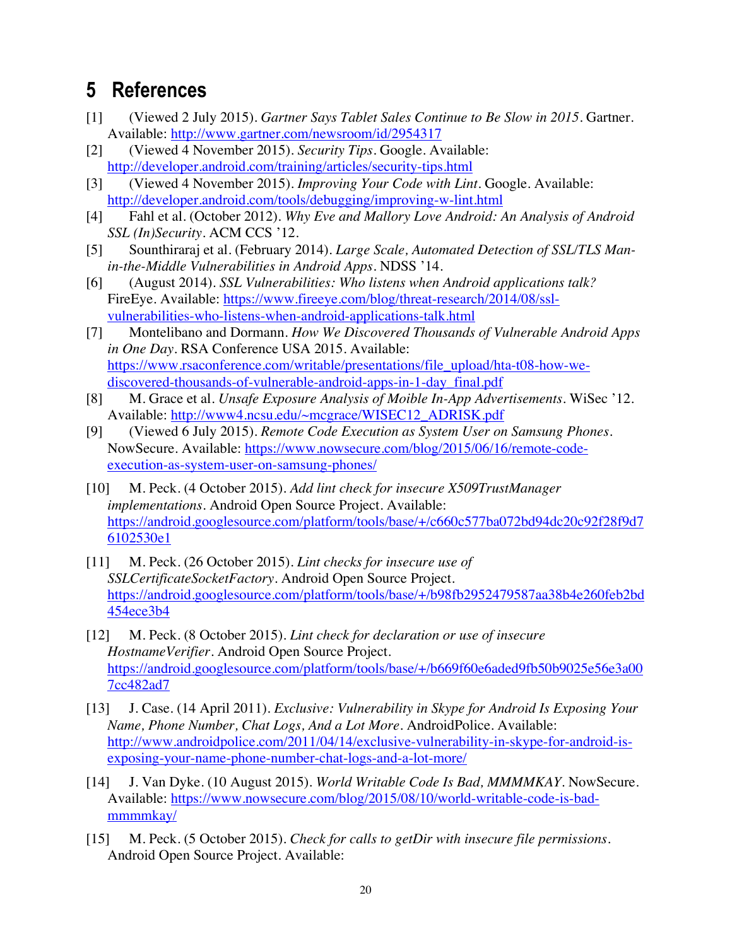### **5 References**

- [1] (Viewed 2 July 2015). *Gartner Says Tablet Sales Continue to Be Slow in 2015.* Gartner. Available: http://www.gartner.com/newsroom/id/2954317
- [2] (Viewed 4 November 2015). *Security Tips.* Google. Available: http://developer.android.com/training/articles/security-tips.html
- [3] (Viewed 4 November 2015). *Improving Your Code with Lint.* Google. Available: http://developer.android.com/tools/debugging/improving-w-lint.html
- [4] Fahl et al. (October 2012). *Why Eve and Mallory Love Android: An Analysis of Android SSL (In)Security.* ACM CCS '12.
- [5] Sounthiraraj et al. (February 2014). *Large Scale, Automated Detection of SSL/TLS Manin-the-Middle Vulnerabilities in Android Apps.* NDSS '14.
- [6] (August 2014). *SSL Vulnerabilities: Who listens when Android applications talk?*  FireEye. Available: https://www.fireeye.com/blog/threat-research/2014/08/sslvulnerabilities-who-listens-when-android-applications-talk.html
- [7] Montelibano and Dormann. *How We Discovered Thousands of Vulnerable Android Apps in One Day.* RSA Conference USA 2015. Available: https://www.rsaconference.com/writable/presentations/file\_upload/hta-t08-how-wediscovered-thousands-of-vulnerable-android-apps-in-1-day\_final.pdf
- [8] M. Grace et al. *Unsafe Exposure Analysis of Moible In-App Advertisements*. WiSec '12. Available: http://www4.ncsu.edu/~mcgrace/WISEC12\_ADRISK.pdf
- [9] (Viewed 6 July 2015). *Remote Code Execution as System User on Samsung Phones*. NowSecure. Available: https://www.nowsecure.com/blog/2015/06/16/remote-codeexecution-as-system-user-on-samsung-phones/
- [10] M. Peck. (4 October 2015). *Add lint check for insecure X509TrustManager implementations.* Android Open Source Project. Available: https://android.googlesource.com/platform/tools/base/+/c660c577ba072bd94dc20c92f28f9d7 6102530e1
- [11] M. Peck. (26 October 2015). *Lint checks for insecure use of SSLCertificateSocketFactory.* Android Open Source Project. https://android.googlesource.com/platform/tools/base/+/b98fb2952479587aa38b4e260feb2bd 454ece3b4
- [12] M. Peck. (8 October 2015). *Lint check for declaration or use of insecure HostnameVerifier.* Android Open Source Project. https://android.googlesource.com/platform/tools/base/+/b669f60e6aded9fb50b9025e56e3a00 7cc482ad7
- [13] J. Case. (14 April 2011). *Exclusive: Vulnerability in Skype for Android Is Exposing Your Name, Phone Number, Chat Logs, And a Lot More.* AndroidPolice. Available: http://www.androidpolice.com/2011/04/14/exclusive-vulnerability-in-skype-for-android-isexposing-your-name-phone-number-chat-logs-and-a-lot-more/
- [14] J. Van Dyke. (10 August 2015). *World Writable Code Is Bad, MMMMKAY.* NowSecure. Available: https://www.nowsecure.com/blog/2015/08/10/world-writable-code-is-badmmmmkay/
- [15] M. Peck. (5 October 2015). *Check for calls to getDir with insecure file permissions*. Android Open Source Project. Available: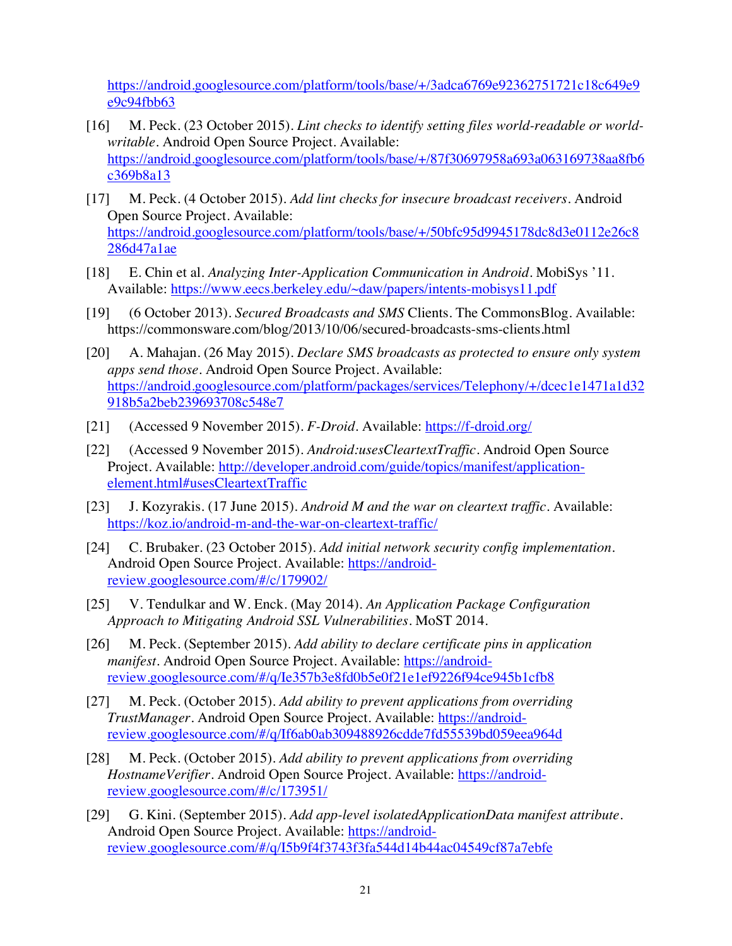https://android.googlesource.com/platform/tools/base/+/3adca6769e92362751721c18c649e9 e9c94fbb63

- [16] M. Peck. (23 October 2015). *Lint checks to identify setting files world-readable or worldwritable.* Android Open Source Project. Available: https://android.googlesource.com/platform/tools/base/+/87f30697958a693a063169738aa8fb6 c369b8a13
- [17] M. Peck. (4 October 2015). *Add lint checks for insecure broadcast receivers*. Android Open Source Project. Available: https://android.googlesource.com/platform/tools/base/+/50bfc95d9945178dc8d3e0112e26c8 286d47a1ae
- [18] E. Chin et al. *Analyzing Inter-Application Communication in Android.* MobiSys '11. Available: https://www.eecs.berkeley.edu/~daw/papers/intents-mobisys11.pdf
- [19] (6 October 2013). *Secured Broadcasts and SMS* Clients. The CommonsBlog. Available: https://commonsware.com/blog/2013/10/06/secured-broadcasts-sms-clients.html
- [20] A. Mahajan. (26 May 2015). *Declare SMS broadcasts as protected to ensure only system apps send those.* Android Open Source Project. Available: https://android.googlesource.com/platform/packages/services/Telephony/+/dcec1e1471a1d32 918b5a2beb239693708c548e7
- [21] (Accessed 9 November 2015). *F-Droid*. Available: https://f-droid.org/
- [22] (Accessed 9 November 2015). *Android:usesCleartextTraffic*. Android Open Source Project. Available: http://developer.android.com/guide/topics/manifest/applicationelement.html#usesCleartextTraffic
- [23] J. Kozyrakis. (17 June 2015). *Android M and the war on cleartext traffic.* Available: https://koz.io/android-m-and-the-war-on-cleartext-traffic/
- [24] C. Brubaker. (23 October 2015). *Add initial network security config implementation.*  Android Open Source Project. Available: https://androidreview.googlesource.com/#/c/179902/
- [25] V. Tendulkar and W. Enck. (May 2014). *An Application Package Configuration Approach to Mitigating Android SSL Vulnerabilities*. MoST 2014.
- [26] M. Peck. (September 2015). *Add ability to declare certificate pins in application manifest*. Android Open Source Project. Available: https://androidreview.googlesource.com/#/q/Ie357b3e8fd0b5e0f21e1ef9226f94ce945b1cfb8
- [27] M. Peck. (October 2015). *Add ability to prevent applications from overriding TrustManager*. Android Open Source Project. Available: https://androidreview.googlesource.com/#/q/If6ab0ab309488926cdde7fd55539bd059eea964d
- [28] M. Peck. (October 2015). *Add ability to prevent applications from overriding*  HostnameVerifier. Android Open Source Project. Available: https://androidreview.googlesource.com/#/c/173951/
- [29] G. Kini. (September 2015). *Add app-level isolatedApplicationData manifest attribute*. Android Open Source Project. Available: https://androidreview.googlesource.com/#/q/I5b9f4f3743f3fa544d14b44ac04549cf87a7ebfe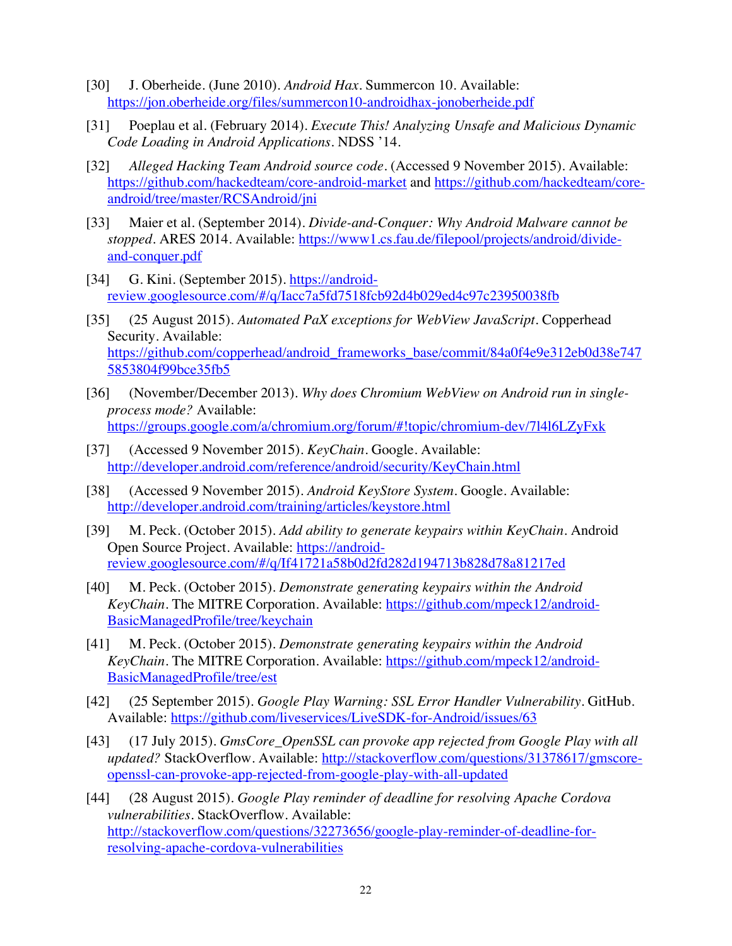- [30] J. Oberheide. (June 2010). *Android Hax.* Summercon 10. Available: https://jon.oberheide.org/files/summercon10-androidhax-jonoberheide.pdf
- [31] Poeplau et al. (February 2014). *Execute This! Analyzing Unsafe and Malicious Dynamic Code Loading in Android Applications*. NDSS '14.
- [32] *Alleged Hacking Team Android source code*. (Accessed 9 November 2015). Available: https://github.com/hackedteam/core-android-market and https://github.com/hackedteam/coreandroid/tree/master/RCSAndroid/jni
- [33] Maier et al. (September 2014). *Divide-and-Conquer: Why Android Malware cannot be stopped.* ARES 2014. Available: https://www1.cs.fau.de/filepool/projects/android/divideand-conquer.pdf
- [34] G. Kini. (September 2015). https://androidreview.googlesource.com/#/q/Iacc7a5fd7518fcb92d4b029ed4c97c23950038fb
- [35] (25 August 2015). *Automated PaX exceptions for WebView JavaScript.* Copperhead Security. Available: https://github.com/copperhead/android\_frameworks\_base/commit/84a0f4e9e312eb0d38e747 5853804f99bce35fb5
- [36] (November/December 2013). *Why does Chromium WebView on Android run in singleprocess mode?* Available: https://groups.google.com/a/chromium.org/forum/#!topic/chromium-dev/7l4l6LZyFxk
- [37] (Accessed 9 November 2015). *KeyChain*. Google. Available: http://developer.android.com/reference/android/security/KeyChain.html
- [38] (Accessed 9 November 2015). *Android KeyStore System.* Google. Available: http://developer.android.com/training/articles/keystore.html
- [39] M. Peck. (October 2015). *Add ability to generate keypairs within KeyChain*. Android Open Source Project. Available: https://androidreview.googlesource.com/#/q/If41721a58b0d2fd282d194713b828d78a81217ed
- [40] M. Peck. (October 2015). *Demonstrate generating keypairs within the Android KeyChain.* The MITRE Corporation. Available: https://github.com/mpeck12/android-BasicManagedProfile/tree/keychain
- [41] M. Peck. (October 2015). *Demonstrate generating keypairs within the Android KeyChain*. The MITRE Corporation. Available: https://github.com/mpeck12/android-BasicManagedProfile/tree/est
- [42] (25 September 2015). *Google Play Warning: SSL Error Handler Vulnerability*. GitHub. Available: https://github.com/liveservices/LiveSDK-for-Android/issues/63
- [43] (17 July 2015). *GmsCore\_OpenSSL can provoke app rejected from Google Play with all updated?* StackOverflow. Available: http://stackoverflow.com/questions/31378617/gmscoreopenssl-can-provoke-app-rejected-from-google-play-with-all-updated
- [44] (28 August 2015). *Google Play reminder of deadline for resolving Apache Cordova vulnerabilities.* StackOverflow. Available: http://stackoverflow.com/questions/32273656/google-play-reminder-of-deadline-forresolving-apache-cordova-vulnerabilities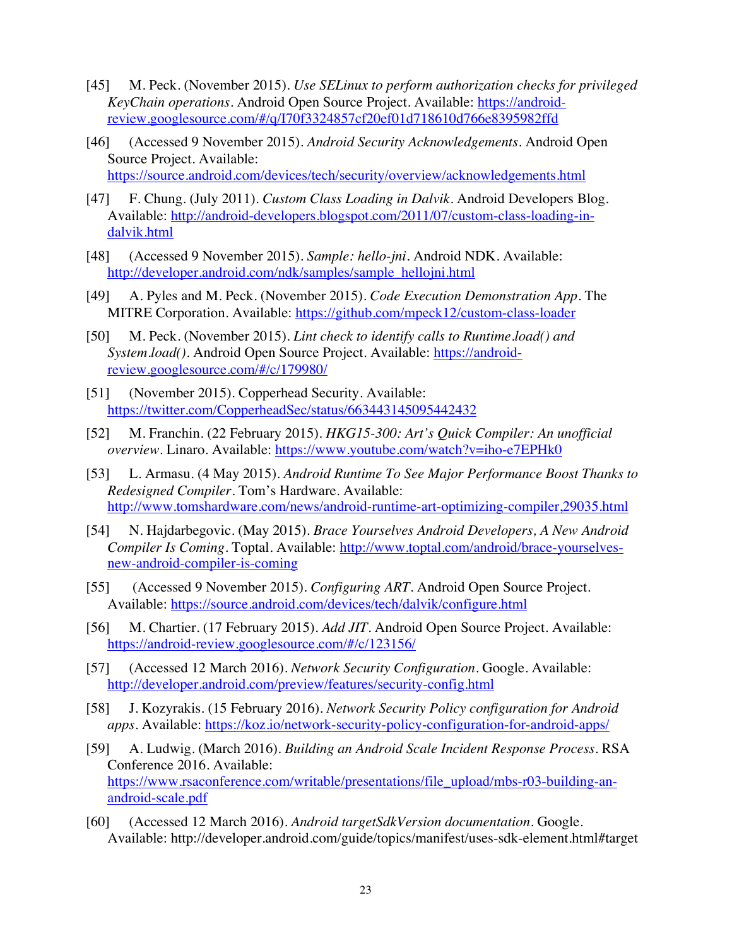- [45] M. Peck. (November 2015). *Use SELinux to perform authorization checks for privileged KeyChain operations.* Android Open Source Project. Available: https://androidreview.googlesource.com/#/q/I70f3324857cf20ef01d718610d766e8395982ffd
- [46] (Accessed 9 November 2015). *Android Security Acknowledgements.* Android Open Source Project. Available: https://source.android.com/devices/tech/security/overview/acknowledgements.html
- [47] F. Chung. (July 2011). *Custom Class Loading in Dalvik*. Android Developers Blog. Available: http://android-developers.blogspot.com/2011/07/custom-class-loading-indalvik.html
- [48] (Accessed 9 November 2015). *Sample: hello-jni*. Android NDK. Available: http://developer.android.com/ndk/samples/sample\_hellojni.html
- [49] A. Pyles and M. Peck. (November 2015). *Code Execution Demonstration App.* The MITRE Corporation. Available: https://github.com/mpeck12/custom-class-loader
- [50] M. Peck. (November 2015). *Lint check to identify calls to Runtime.load() and*  System.load(). Android Open Source Project. Available: https://androidreview.googlesource.com/#/c/179980/
- [51] (November 2015). Copperhead Security. Available: https://twitter.com/CopperheadSec/status/663443145095442432
- [52] M. Franchin. (22 February 2015). *HKG15-300: Art's Quick Compiler: An unofficial overview.* Linaro. Available: https://www.youtube.com/watch?v=iho-e7EPHk0
- [53] L. Armasu. (4 May 2015). *Android Runtime To See Major Performance Boost Thanks to Redesigned Compiler.* Tom's Hardware. Available: http://www.tomshardware.com/news/android-runtime-art-optimizing-compiler,29035.html
- [54] N. Hajdarbegovic. (May 2015). *Brace Yourselves Android Developers, A New Android Compiler Is Coming.* Toptal. Available: http://www.toptal.com/android/brace-yourselvesnew-android-compiler-is-coming
- [55] (Accessed 9 November 2015). *Configuring ART.* Android Open Source Project. Available: https://source.android.com/devices/tech/dalvik/configure.html
- [56] M. Chartier. (17 February 2015). *Add JIT.* Android Open Source Project. Available: https://android-review.googlesource.com/#/c/123156/
- [57] (Accessed 12 March 2016). *Network Security Configuration.* Google. Available: http://developer.android.com/preview/features/security-config.html
- [58] J. Kozyrakis. (15 February 2016). *Network Security Policy configuration for Android apps.* Available: https://koz.io/network-security-policy-configuration-for-android-apps/
- [59] A. Ludwig. (March 2016). *Building an Android Scale Incident Response Process.* RSA Conference 2016. Available: https://www.rsaconference.com/writable/presentations/file\_upload/mbs-r03-building-anandroid-scale.pdf
- [60] (Accessed 12 March 2016). *Android targetSdkVersion documentation*. Google. Available: http://developer.android.com/guide/topics/manifest/uses-sdk-element.html#target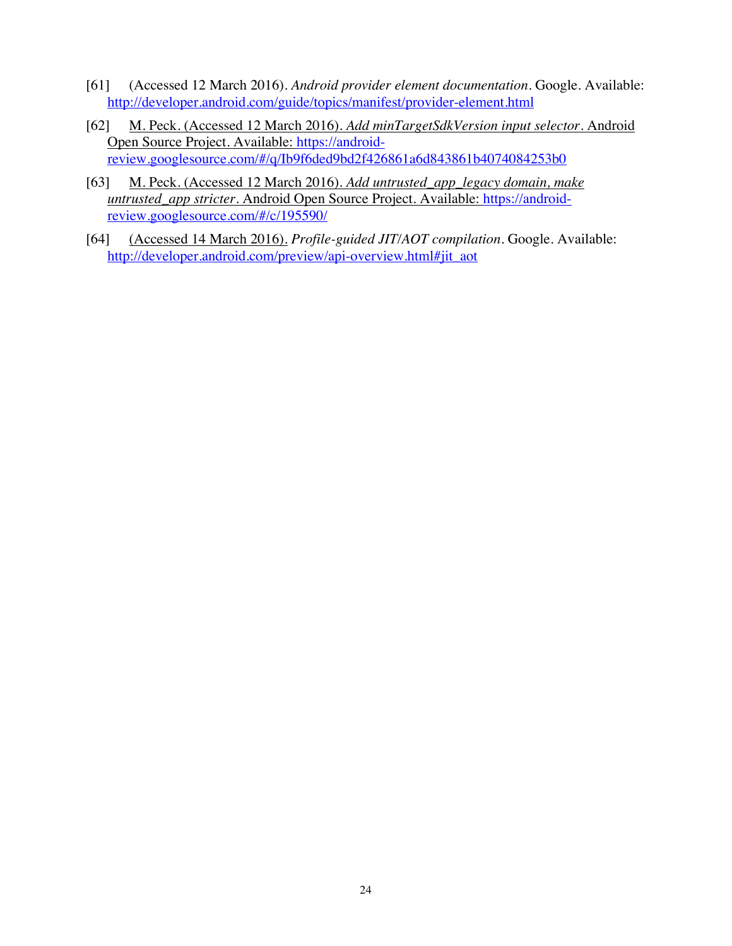- [61] (Accessed 12 March 2016). *Android provider element documentation*. Google. Available: http://developer.android.com/guide/topics/manifest/provider-element.html
- [62] M. Peck. (Accessed 12 March 2016). *Add minTargetSdkVersion input selector.* Android Open Source Project. Available: https://androidreview.googlesource.com/#/q/Ib9f6ded9bd2f426861a6d843861b4074084253b0
- [63] M. Peck. (Accessed 12 March 2016). *Add untrusted\_app\_legacy domain, make untrusted\_app stricter.* Android Open Source Project. Available: https://androidreview.googlesource.com/#/c/195590/
- [64] (Accessed 14 March 2016). *Profile-guided JIT/AOT compilation.* Google. Available: http://developer.android.com/preview/api-overview.html#jit\_aot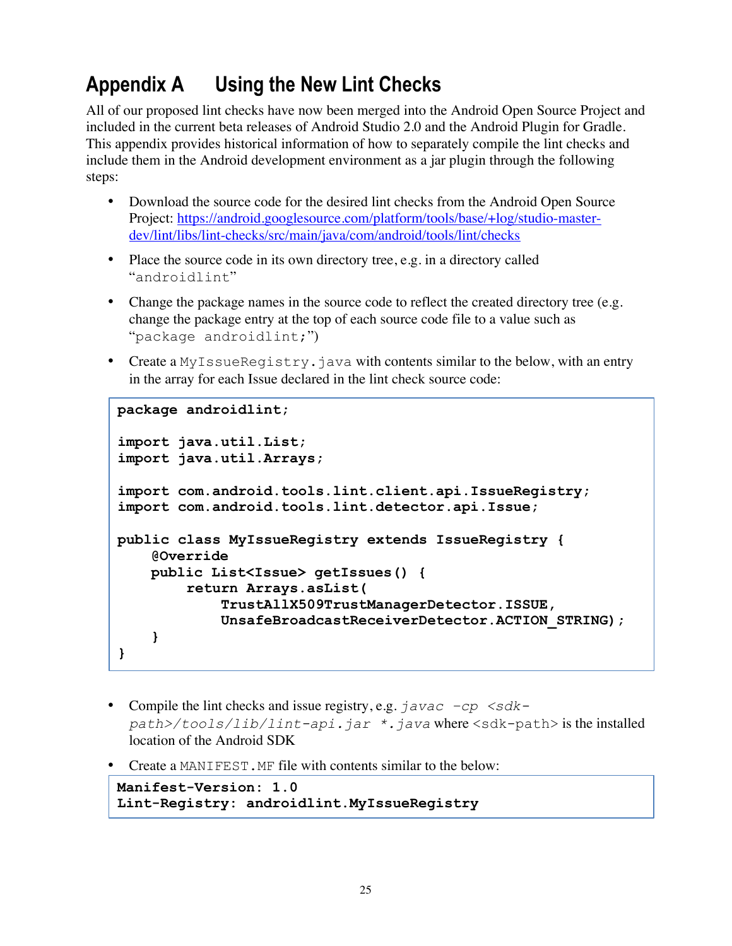# **Appendix A Using the New Lint Checks**

All of our proposed lint checks have now been merged into the Android Open Source Project and included in the current beta releases of Android Studio 2.0 and the Android Plugin for Gradle. This appendix provides historical information of how to separately compile the lint checks and include them in the Android development environment as a jar plugin through the following steps:

- Download the source code for the desired lint checks from the Android Open Source Project: https://android.googlesource.com/platform/tools/base/+log/studio-masterdev/lint/libs/lint-checks/src/main/java/com/android/tools/lint/checks
- Place the source code in its own directory tree, e.g. in a directory called "androidlint"
- Change the package names in the source code to reflect the created directory tree (e.g. change the package entry at the top of each source code file to a value such as "package androidlint;")
- Create a MyIssueRegistry.java with contents similar to the below, with an entry in the array for each Issue declared in the lint check source code:

```
package androidlint;
import java.util.List;
import java.util.Arrays;
import com.android.tools.lint.client.api.IssueRegistry;
import com.android.tools.lint.detector.api.Issue;
public class MyIssueRegistry extends IssueRegistry {
    @Override
   public List<Issue> getIssues() {
         return Arrays.asList(
             TrustAllX509TrustManagerDetector.ISSUE,
             UnsafeBroadcastReceiverDetector.ACTION_STRING);
    }
}
```
- Compile the lint checks and issue registry, e.g.  $\frac{1}{4} \alpha \alpha c \beta$  <sdk*path>/tools/lib/lint-api.jar \*.java* where <sdk-path> is the installed location of the Android SDK
- Create a MANIFEST. MF file with contents similar to the below:

```
Manifest-Version: 1.0
Lint-Registry: androidlint.MyIssueRegistry
```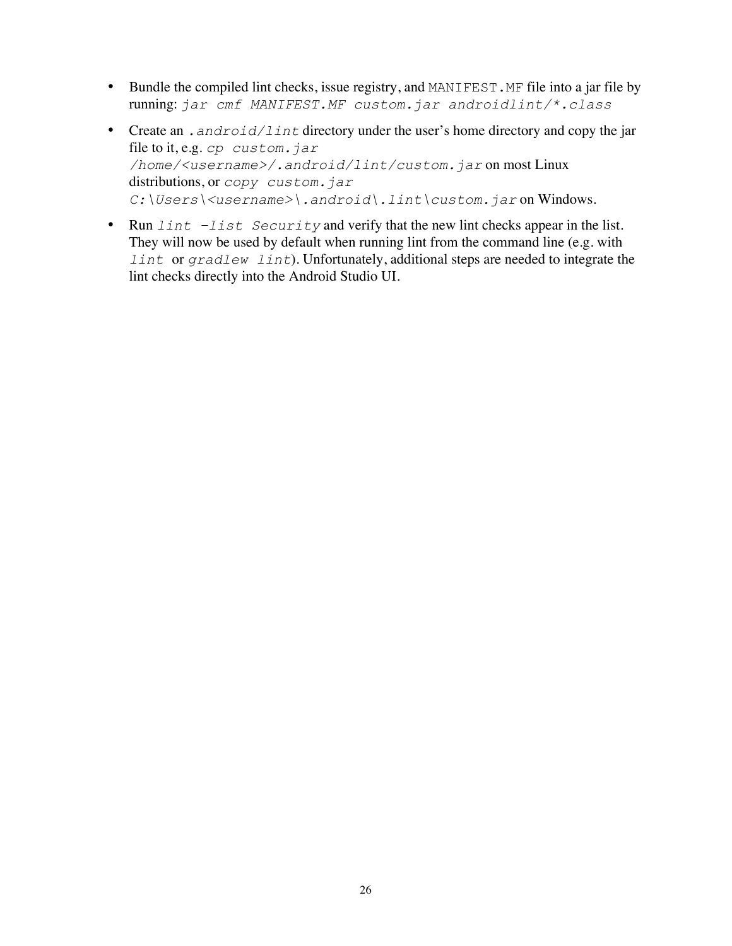- Bundle the compiled lint checks, issue registry, and MANIFEST. MF file into a jar file by running: *jar cmf MANIFEST.MF custom.jar androidlint/\*.class*
- Create an *.android/lint* directory under the user's home directory and copy the jar file to it, e.g. *cp custom.jar /home/<username>/.android/lint/custom.jar* on most Linux distributions, or *copy custom.jar C:\Users\<username>\.android\.lint\custom.jar* on Windows.
- Run *lint –list Security* and verify that the new lint checks appear in the list. They will now be used by default when running lint from the command line (e.g. with *lint* or *gradlew lint*). Unfortunately, additional steps are needed to integrate the lint checks directly into the Android Studio UI.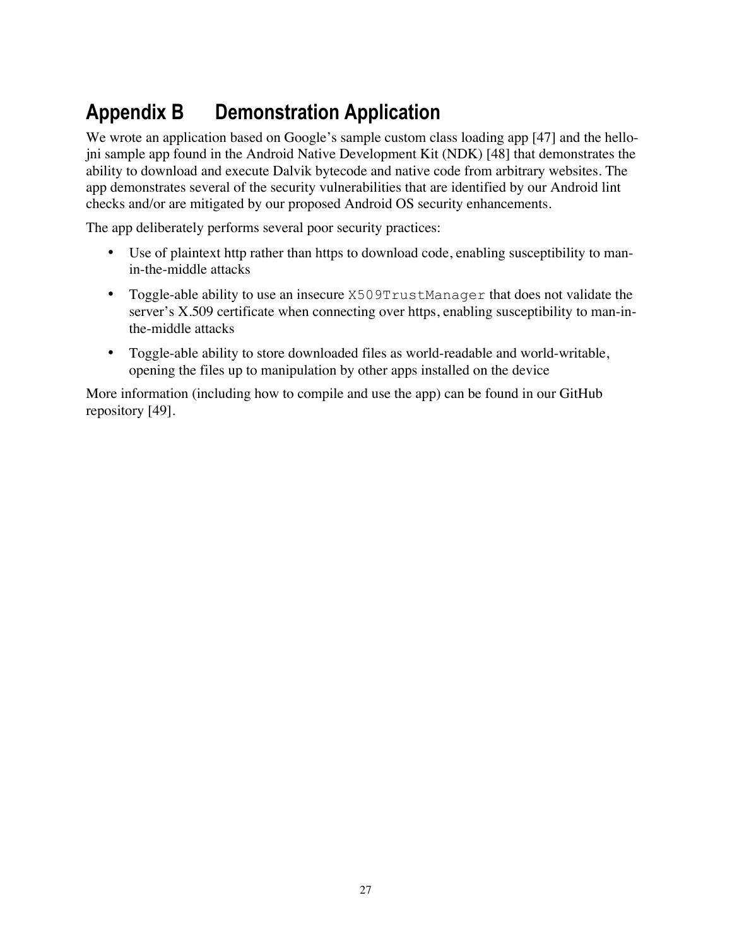# **Appendix B Demonstration Application**

We wrote an application based on Google's sample custom class loading app [47] and the hellojni sample app found in the Android Native Development Kit (NDK) [48] that demonstrates the ability to download and execute Dalvik bytecode and native code from arbitrary websites. The app demonstrates several of the security vulnerabilities that are identified by our Android lint checks and/or are mitigated by our proposed Android OS security enhancements.

The app deliberately performs several poor security practices:

- Use of plaintext http rather than https to download code, enabling susceptibility to manin-the-middle attacks
- Toggle-able ability to use an insecure X509TrustManager that does not validate the server's  $X.509$  certificate when connecting over https, enabling susceptibility to man-inthe-middle attacks
- Toggle-able ability to store downloaded files as world-readable and world-writable, opening the files up to manipulation by other apps installed on the device

More information (including how to compile and use the app) can be found in our GitHub repository [49].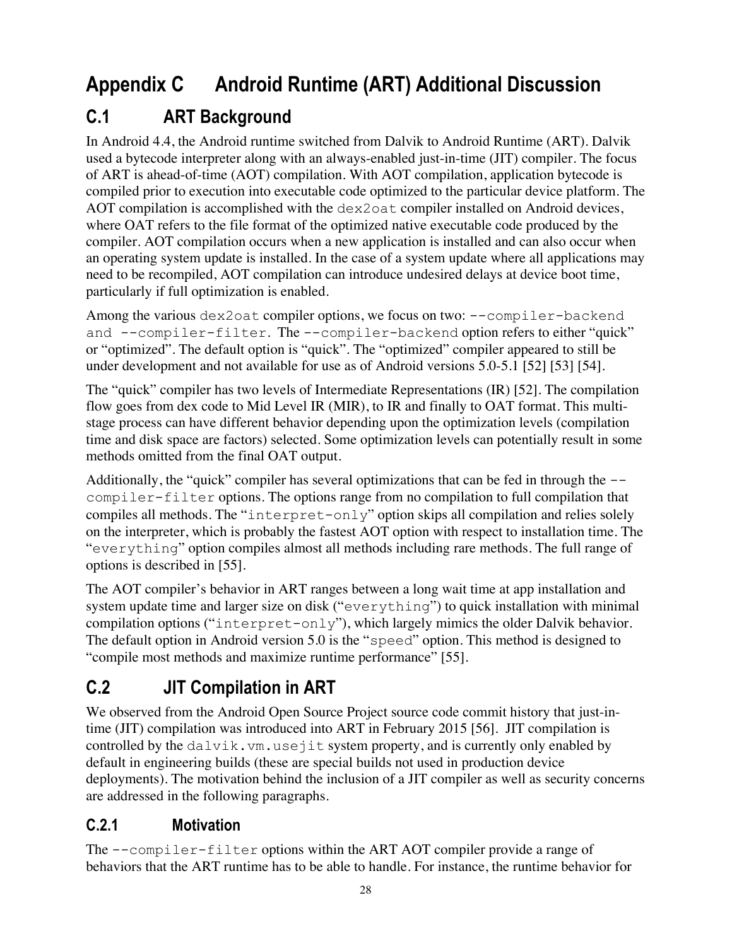# **Appendix C Android Runtime (ART) Additional Discussion**

### **C.1 ART Background**

In Android 4.4, the Android runtime switched from Dalvik to Android Runtime (ART). Dalvik used a bytecode interpreter along with an always-enabled just-in-time (JIT) compiler. The focus of ART is ahead-of-time (AOT) compilation. With AOT compilation, application bytecode is compiled prior to execution into executable code optimized to the particular device platform. The AOT compilation is accomplished with the dex2oat compiler installed on Android devices, where OAT refers to the file format of the optimized native executable code produced by the compiler. AOT compilation occurs when a new application is installed and can also occur when an operating system update is installed. In the case of a system update where all applications may need to be recompiled, AOT compilation can introduce undesired delays at device boot time, particularly if full optimization is enabled.

Among the various dex2oat compiler options, we focus on two: --compiler-backend and --compiler-filter. The --compiler-backend option refers to either "quick" or "optimized". The default option is "quick". The "optimized" compiler appeared to still be under development and not available for use as of Android versions 5.0-5.1 [52] [53] [54].

The "quick" compiler has two levels of Intermediate Representations (IR) [52]. The compilation flow goes from dex code to Mid Level IR (MIR), to IR and finally to OAT format. This multistage process can have different behavior depending upon the optimization levels (compilation time and disk space are factors) selected. Some optimization levels can potentially result in some methods omitted from the final OAT output.

Additionally, the "quick" compiler has several optimizations that can be fed in through the  $-\frac{1}{2}$ compiler-filter options. The options range from no compilation to full compilation that compiles all methods. The "interpret-only" option skips all compilation and relies solely on the interpreter, which is probably the fastest AOT option with respect to installation time. The "everything" option compiles almost all methods including rare methods. The full range of options is described in [55].

The AOT compiler's behavior in ART ranges between a long wait time at app installation and system update time and larger size on disk ("everything") to quick installation with minimal compilation options ("interpret-only"), which largely mimics the older Dalvik behavior. The default option in Android version 5.0 is the "speed" option. This method is designed to "compile most methods and maximize runtime performance" [55].

### **C.2 JIT Compilation in ART**

We observed from the Android Open Source Project source code commit history that just-intime (JIT) compilation was introduced into ART in February 2015 [56]. JIT compilation is controlled by the dalvik.vm.usejit system property, and is currently only enabled by default in engineering builds (these are special builds not used in production device deployments). The motivation behind the inclusion of a JIT compiler as well as security concerns are addressed in the following paragraphs.

#### **C.2.1 Motivation**

The --compiler-filter options within the ART AOT compiler provide a range of behaviors that the ART runtime has to be able to handle. For instance, the runtime behavior for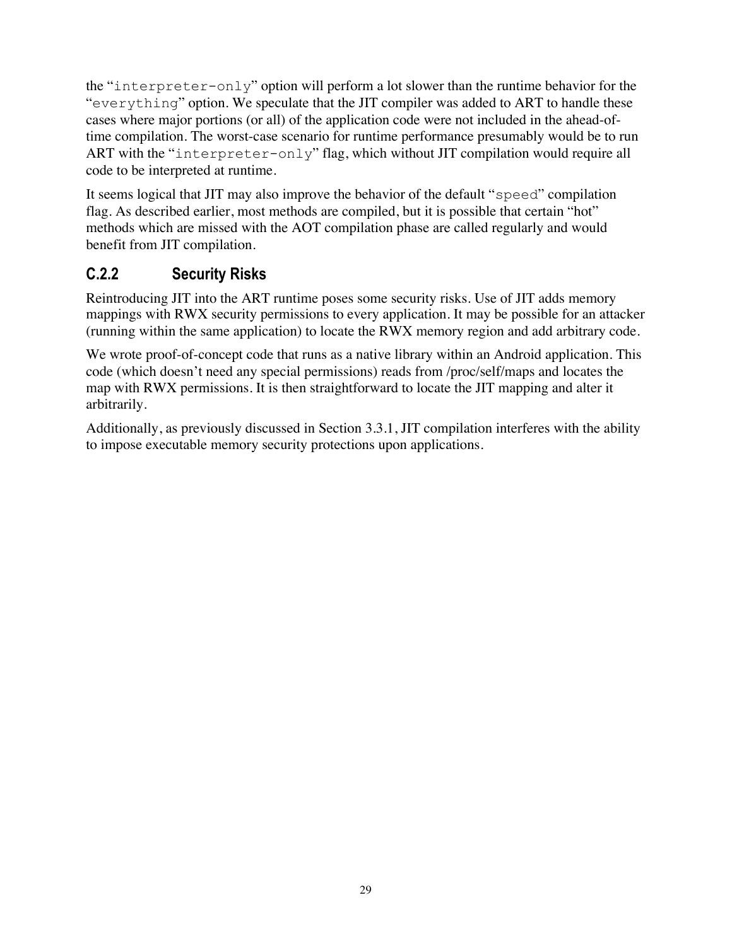the "interpreter-only" option will perform a lot slower than the runtime behavior for the "everything" option. We speculate that the JIT compiler was added to ART to handle these cases where major portions (or all) of the application code were not included in the ahead-oftime compilation. The worst-case scenario for runtime performance presumably would be to run ART with the "interpreter-only" flag, which without JIT compilation would require all code to be interpreted at runtime.

It seems logical that JIT may also improve the behavior of the default "speed" compilation flag. As described earlier, most methods are compiled, but it is possible that certain "hot" methods which are missed with the AOT compilation phase are called regularly and would benefit from JIT compilation.

#### **C.2.2 Security Risks**

Reintroducing JIT into the ART runtime poses some security risks. Use of JIT adds memory mappings with RWX security permissions to every application. It may be possible for an attacker (running within the same application) to locate the RWX memory region and add arbitrary code.

We wrote proof-of-concept code that runs as a native library within an Android application. This code (which doesn't need any special permissions) reads from /proc/self/maps and locates the map with RWX permissions. It is then straightforward to locate the JIT mapping and alter it arbitrarily.

Additionally, as previously discussed in Section 3.3.1, JIT compilation interferes with the ability to impose executable memory security protections upon applications.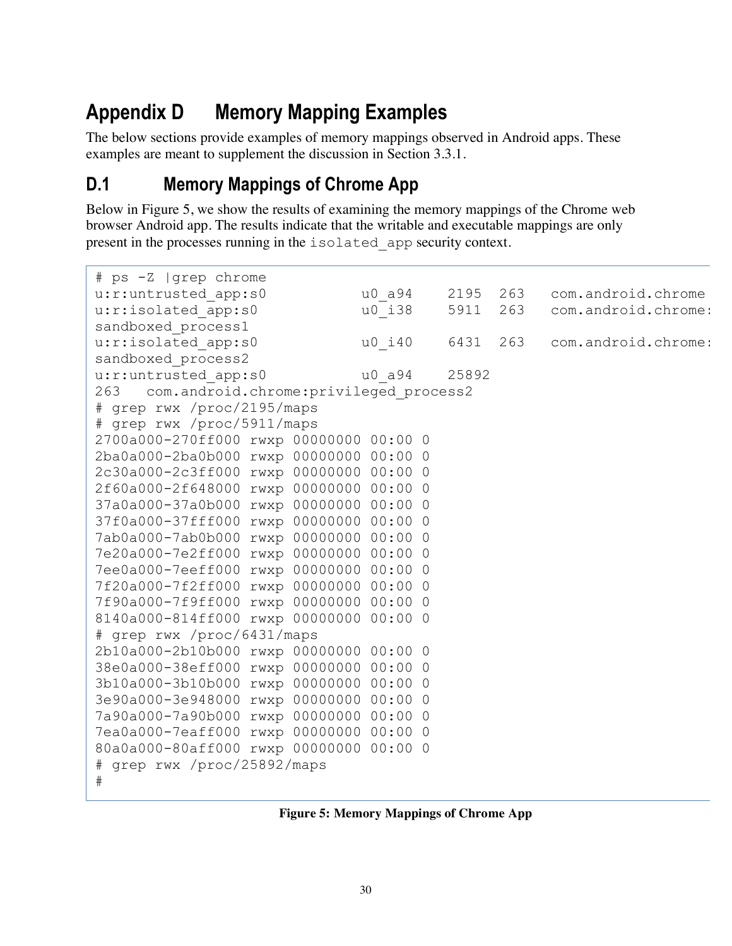# **Appendix D Memory Mapping Examples**

The below sections provide examples of memory mappings observed in Android apps. These examples are meant to supplement the discussion in Section 3.3.1.

### **D.1 Memory Mappings of Chrome App**

Below in Figure 5, we show the results of examining the memory mappings of the Chrome web browser Android app. The results indicate that the writable and executable mappings are only present in the processes running in the isolated\_app security context.

| # ps -Z  grep chrome                          |                       |        |       |      |     |                     |  |  |  |  |  |
|-----------------------------------------------|-----------------------|--------|-------|------|-----|---------------------|--|--|--|--|--|
| u:r:untrusted app:s0                          |                       | u0 a94 |       | 2195 | 263 | com.android.chrome  |  |  |  |  |  |
| u:r:isolated app:s0                           |                       | u0 i38 |       | 5911 | 263 | com.android.chrome: |  |  |  |  |  |
| sandboxed process1                            |                       |        |       |      |     |                     |  |  |  |  |  |
| u:r:isolated app:s0                           |                       | u0 i40 |       | 6431 | 263 | com.android.chrome: |  |  |  |  |  |
| sandboxed process2                            |                       |        |       |      |     |                     |  |  |  |  |  |
| u:r:untrusted app:s0                          | u0 a94                |        | 25892 |      |     |                     |  |  |  |  |  |
| com.android.chrome:privileged process2<br>263 |                       |        |       |      |     |                     |  |  |  |  |  |
| # grep rwx /proc/2195/maps                    |                       |        |       |      |     |                     |  |  |  |  |  |
| # grep rwx /proc/5911/maps                    |                       |        |       |      |     |                     |  |  |  |  |  |
| 2700a000-270ff000 rwxp 00000000 00:00 0       |                       |        |       |      |     |                     |  |  |  |  |  |
| 2ba0a000-2ba0b000 rwxp 00000000 00:00 0       |                       |        |       |      |     |                     |  |  |  |  |  |
| 2c30a000-2c3ff000 rwxp 00000000 00:00 0       |                       |        |       |      |     |                     |  |  |  |  |  |
| 2f60a000-2f648000 rwxp 00000000 00:00 0       |                       |        |       |      |     |                     |  |  |  |  |  |
| 37a0a000-37a0b000 rwxp 00000000 00:00 0       |                       |        |       |      |     |                     |  |  |  |  |  |
| 37f0a000-37fff000 rwxp 00000000 00:00 0       |                       |        |       |      |     |                     |  |  |  |  |  |
| 7ab0a000-7ab0b000 rwxp 00000000 00:00 0       |                       |        |       |      |     |                     |  |  |  |  |  |
| 7e20a000-7e2ff000 rwxp 00000000 00:00 0       |                       |        |       |      |     |                     |  |  |  |  |  |
| 7ee0a000-7eeff000 rwxp 00000000 00:00 0       |                       |        |       |      |     |                     |  |  |  |  |  |
| 7f20a000-7f2ff000 rwxp 00000000 00:00 0       |                       |        |       |      |     |                     |  |  |  |  |  |
| 7f90a000-7f9ff000                             | rwxp 00000000 00:00 0 |        |       |      |     |                     |  |  |  |  |  |
| 8140a000-814ff000 rwxp 00000000 00:00 0       |                       |        |       |      |     |                     |  |  |  |  |  |
| # grep rwx /proc/6431/maps                    |                       |        |       |      |     |                     |  |  |  |  |  |
| 2b10a000-2b10b000 rwxp 00000000 00:00 0       |                       |        |       |      |     |                     |  |  |  |  |  |
| 38e0a000-38eff000 rwxp 00000000 00:00 0       |                       |        |       |      |     |                     |  |  |  |  |  |
| 3b10a000-3b10b000 rwxp 00000000 00:00 0       |                       |        |       |      |     |                     |  |  |  |  |  |
| 3e90a000-3e948000 rwxp 00000000 00:00 0       |                       |        |       |      |     |                     |  |  |  |  |  |
| 7a90a000-7a90b000 rwxp 00000000 00:00 0       |                       |        |       |      |     |                     |  |  |  |  |  |
| 7ea0a000-7eaff000 rwxp 00000000 00:00 0       |                       |        |       |      |     |                     |  |  |  |  |  |
| 80a0a000-80aff000 rwxp 00000000 00:00 0       |                       |        |       |      |     |                     |  |  |  |  |  |
| # grep rwx /proc/25892/maps<br>#              |                       |        |       |      |     |                     |  |  |  |  |  |
|                                               |                       |        |       |      |     |                     |  |  |  |  |  |

**Figure 5: Memory Mappings of Chrome App**